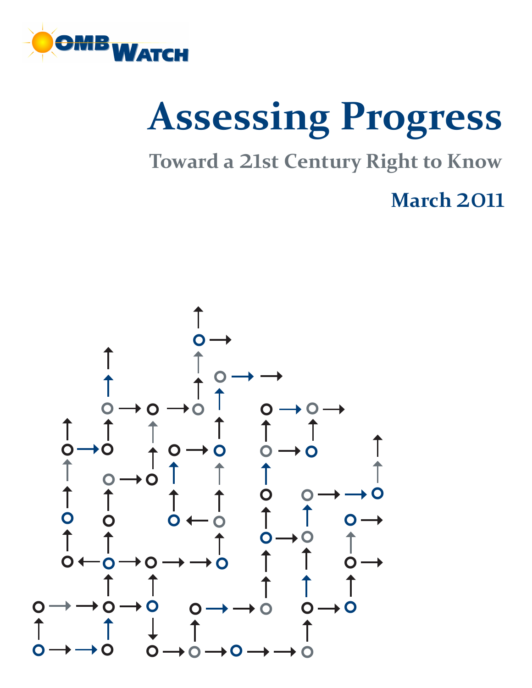

# **Assessing Progress**

**Toward a** 21**st Century Right to Know**

**March** 2011

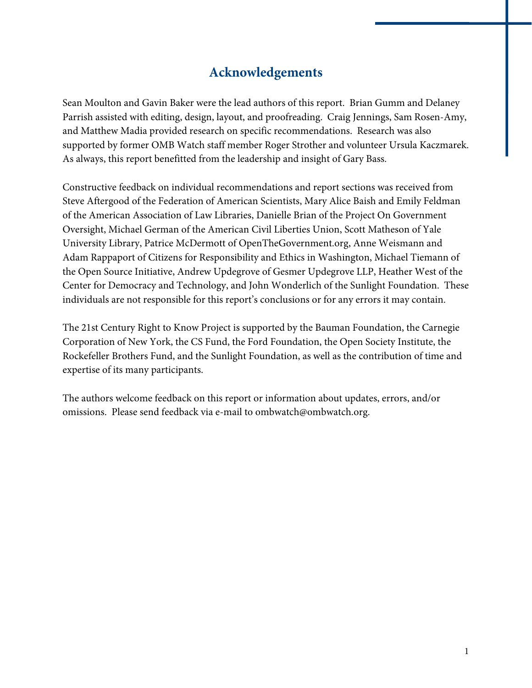## **Acknowledgements**

Sean Moulton and Gavin Baker were the lead authors of this report. Brian Gumm and Delaney Parrish assisted with editing, design, layout, and proofreading. Craig Jennings, Sam Rosen-Amy, and Matthew Madia provided research on specific recommendations. Research was also supported by former OMB Watch staff member Roger Strother and volunteer Ursula Kaczmarek. As always, this report benefitted from the leadership and insight of Gary Bass.

Constructive feedback on individual recommendations and report sections was received from Steve Aftergood of the Federation of American Scientists, Mary Alice Baish and Emily Feldman of the American Association of Law Libraries, Danielle Brian of the Project On Government Oversight, Michael German of the American Civil Liberties Union, Scott Matheson of Yale University Library, Patrice McDermott of OpenTheGovernment.org, Anne Weismann and Adam Rappaport of Citizens for Responsibility and Ethics in Washington, Michael Tiemann of the Open Source Initiative, Andrew Updegrove of Gesmer Updegrove LLP, Heather West of the Center for Democracy and Technology, and John Wonderlich of the Sunlight Foundation. These individuals are not responsible for this report's conclusions or for any errors it may contain.

The 21st Century Right to Know Project is supported by the Bauman Foundation, the Carnegie Corporation of New York, the CS Fund, the Ford Foundation, the Open Society Institute, the Rockefeller Brothers Fund, and the Sunlight Foundation, as well as the contribution of time and expertise of its many participants.

The authors welcome feedback on this report or information about updates, errors, and/or omissions. Please send feedback via e-mail to ombwatch@ombwatch.org.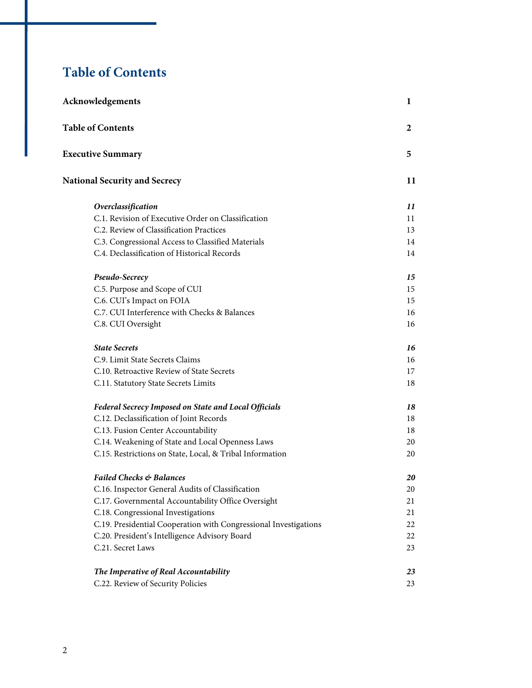## **Table of Contents**

| Acknowledgements                                                 |    |
|------------------------------------------------------------------|----|
| <b>Table of Contents</b>                                         | 2  |
| <b>Executive Summary</b>                                         | 5  |
| <b>National Security and Secrecy</b>                             | 11 |
| Overclassification                                               | 11 |
| C.1. Revision of Executive Order on Classification               | 11 |
| C.2. Review of Classification Practices                          | 13 |
| C.3. Congressional Access to Classified Materials                | 14 |
| C.4. Declassification of Historical Records                      | 14 |
| Pseudo-Secrecy                                                   | 15 |
| C.5. Purpose and Scope of CUI                                    | 15 |
| C.6. CUI's Impact on FOIA                                        | 15 |
| C.7. CUI Interference with Checks & Balances                     | 16 |
| C.8. CUI Oversight                                               | 16 |
| <b>State Secrets</b>                                             | 16 |
| C.9. Limit State Secrets Claims                                  | 16 |
| C.10. Retroactive Review of State Secrets                        | 17 |
| C.11. Statutory State Secrets Limits                             | 18 |
| Federal Secrecy Imposed on State and Local Officials             | 18 |
| C.12. Declassification of Joint Records                          | 18 |
| C.13. Fusion Center Accountability                               | 18 |
| C.14. Weakening of State and Local Openness Laws                 | 20 |
| C.15. Restrictions on State, Local, & Tribal Information         | 20 |
| <b>Failed Checks &amp; Balances</b>                              | 20 |
| C.16. Inspector General Audits of Classification                 | 20 |
| C.17. Governmental Accountability Office Oversight               | 21 |
| C.18. Congressional Investigations                               | 21 |
| C.19. Presidential Cooperation with Congressional Investigations | 22 |
| C.20. President's Intelligence Advisory Board                    | 22 |
| C.21. Secret Laws                                                | 23 |
| The Imperative of Real Accountability                            | 23 |
| C.22. Review of Security Policies                                | 23 |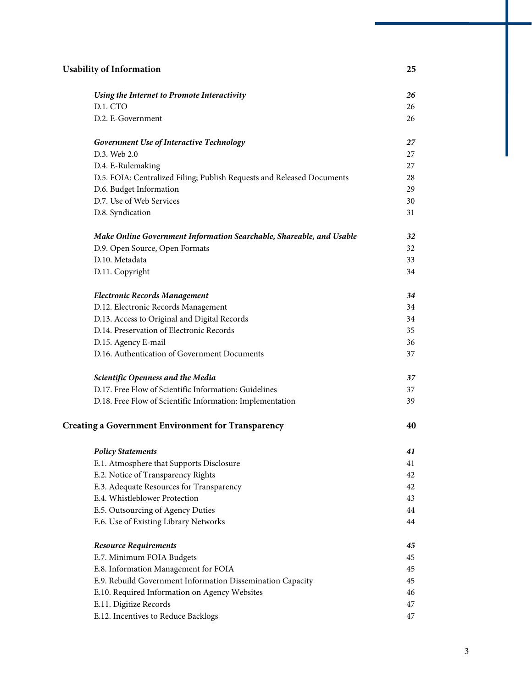| <b>Usability of Information</b> |                                                                        | 25 |
|---------------------------------|------------------------------------------------------------------------|----|
|                                 | Using the Internet to Promote Interactivity                            | 26 |
|                                 | D.1. CTO                                                               | 26 |
|                                 | D.2. E-Government                                                      | 26 |
|                                 | Government Use of Interactive Technology                               | 27 |
|                                 | D.3. Web 2.0                                                           | 27 |
|                                 | D.4. E-Rulemaking                                                      | 27 |
|                                 | D.5. FOIA: Centralized Filing; Publish Requests and Released Documents | 28 |
|                                 | D.6. Budget Information                                                | 29 |
|                                 | D.7. Use of Web Services                                               | 30 |
|                                 | D.8. Syndication                                                       | 31 |
|                                 | Make Online Government Information Searchable, Shareable, and Usable   | 32 |
|                                 | D.9. Open Source, Open Formats                                         | 32 |
|                                 | D.10. Metadata                                                         | 33 |
|                                 | D.11. Copyright                                                        | 34 |
|                                 | <b>Electronic Records Management</b>                                   | 34 |
|                                 | D.12. Electronic Records Management                                    | 34 |
|                                 | D.13. Access to Original and Digital Records                           | 34 |
|                                 | D.14. Preservation of Electronic Records                               | 35 |
|                                 | D.15. Agency E-mail                                                    | 36 |
|                                 | D.16. Authentication of Government Documents                           | 37 |
|                                 | Scientific Openness and the Media                                      | 37 |
|                                 | D.17. Free Flow of Scientific Information: Guidelines                  | 37 |
|                                 | D.18. Free Flow of Scientific Information: Implementation              | 39 |
|                                 | <b>Creating a Government Environment for Transparency</b>              | 40 |
|                                 | <b>Policy Statements</b>                                               | 41 |
|                                 | E.1. Atmosphere that Supports Disclosure                               | 41 |
|                                 | E.2. Notice of Transparency Rights                                     | 42 |
|                                 | E.3. Adequate Resources for Transparency                               | 42 |
|                                 | E.4. Whistleblower Protection                                          | 43 |
|                                 | E.5. Outsourcing of Agency Duties                                      | 44 |
|                                 | E.6. Use of Existing Library Networks                                  | 44 |
|                                 | <b>Resource Requirements</b>                                           | 45 |
|                                 | E.7. Minimum FOIA Budgets                                              | 45 |
|                                 | E.8. Information Management for FOIA                                   | 45 |
|                                 | E.9. Rebuild Government Information Dissemination Capacity             | 45 |
|                                 | E.10. Required Information on Agency Websites                          | 46 |
|                                 | E.11. Digitize Records                                                 | 47 |
|                                 | E.12. Incentives to Reduce Backlogs                                    | 47 |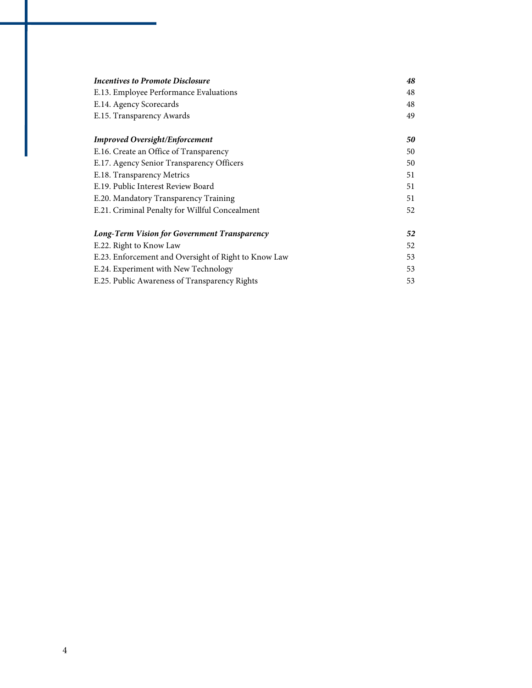| Incentives to Promote Disclosure                                  |    |
|-------------------------------------------------------------------|----|
| E.13. Employee Performance Evaluations<br>E.14. Agency Scorecards |    |
|                                                                   |    |
| <b>Improved Oversight/Enforcement</b>                             | 50 |
| E.16. Create an Office of Transparency                            | 50 |
| E.17. Agency Senior Transparency Officers                         | 50 |
| E.18. Transparency Metrics                                        | 51 |
| E.19. Public Interest Review Board                                | 51 |
| E.20. Mandatory Transparency Training                             | 51 |
| E.21. Criminal Penalty for Willful Concealment                    | 52 |
| Long-Term Vision for Government Transparency                      |    |
| E.22. Right to Know Law                                           | 52 |
| E.23. Enforcement and Oversight of Right to Know Law              | 53 |
| E.24. Experiment with New Technology                              | 53 |
| E.25. Public Awareness of Transparency Rights                     | 53 |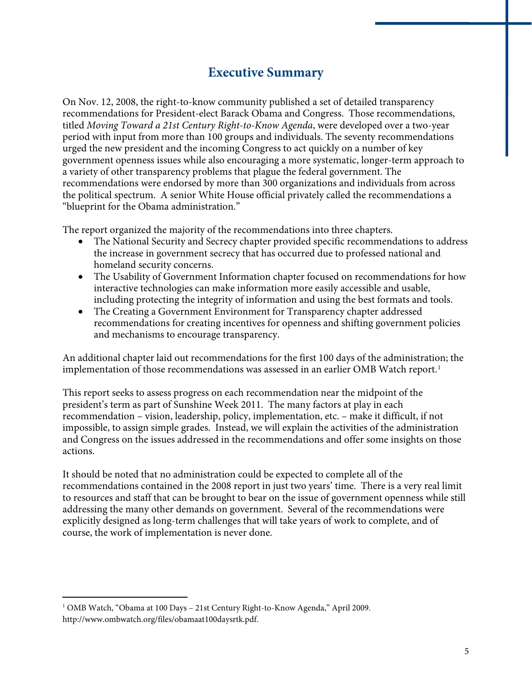## **Executive Summary**

On Nov. 12, 2008, the right-to-know community published a set of detailed transparency recommendations for President-elect Barack Obama and Congress. Those recommendations, titled *Moving Toward a 21st Century Right-to-Know Agenda*, were developed over a two-year period with input from more than 100 groups and individuals. The seventy recommendations urged the new president and the incoming Congress to act quickly on a number of key government openness issues while also encouraging a more systematic, longer-term approach to a variety of other transparency problems that plague the federal government. The recommendations were endorsed by more than 300 organizations and individuals from across the political spectrum. A senior White House official privately called the recommendations a "blueprint for the Obama administration."

The report organized the majority of the recommendations into three chapters.

- The National Security and Secrecy chapter provided specific recommendations to address the increase in government secrecy that has occurred due to professed national and homeland security concerns.
- The Usability of Government Information chapter focused on recommendations for how interactive technologies can make information more easily accessible and usable, including protecting the integrity of information and using the best formats and tools.
- The Creating a Government Environment for Transparency chapter addressed recommendations for creating incentives for openness and shifting government policies and mechanisms to encourage transparency.

An additional chapter laid out recommendations for the first 100 days of the administration; the implementation of those recommendations was assessed in an earlier OMB Watch report.<sup>[1](#page-6-0)</sup>

This report seeks to assess progress on each recommendation near the midpoint of the president's term as part of Sunshine Week 2011. The many factors at play in each recommendation – vision, leadership, policy, implementation, etc. – make it difficult, if not impossible, to assign simple grades. Instead, we will explain the activities of the administration and Congress on the issues addressed in the recommendations and offer some insights on those actions.

It should be noted that no administration could be expected to complete all of the recommendations contained in the 2008 report in just two years' time. There is a very real limit to resources and staff that can be brought to bear on the issue of government openness while still addressing the many other demands on government. Several of the recommendations were explicitly designed as long-term challenges that will take years of work to complete, and of course, the work of implementation is never done.

<span id="page-6-0"></span><sup>1</sup> OMB Watch, "Obama at 100 Days – 21st Century Right-to-Know Agenda," April 2009. http://www.ombwatch.org/files/obamaat100daysrtk.pdf.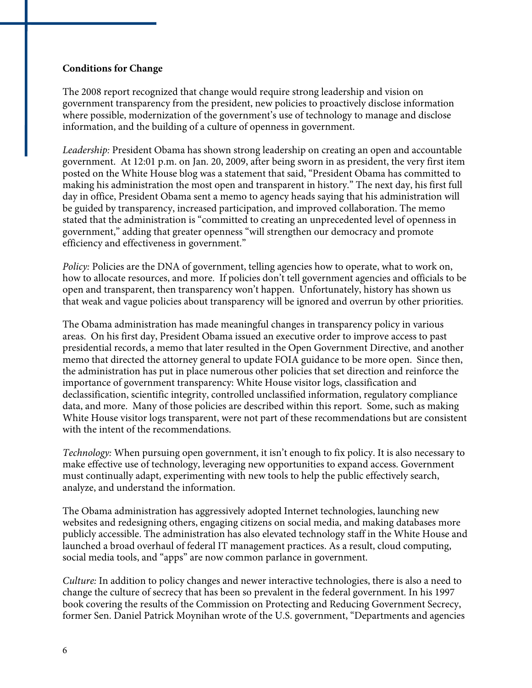#### **Conditions for Change**

The 2008 report recognized that change would require strong leadership and vision on government transparency from the president, new policies to proactively disclose information where possible, modernization of the government's use of technology to manage and disclose information, and the building of a culture of openness in government.

*Leadership:* President Obama has shown strong leadership on creating an open and accountable government. At 12:01 p.m. on Jan. 20, 2009, after being sworn in as president, the very first item posted on the White House blog was a statement that said, "President Obama has committed to making his administration the most open and transparent in history." The next day, his first full day in office, President Obama sent a memo to agency heads saying that his administration will be guided by transparency, increased participation, and improved collaboration. The memo stated that the administration is "committed to creating an unprecedented level of openness in government," adding that greater openness "will strengthen our democracy and promote efficiency and effectiveness in government."

*Policy: Policies are the DNA of government, telling agencies how to operate, what to work on,* how to allocate resources, and more. If policies don't tell government agencies and officials to be open and transparent, then transparency won't happen. Unfortunately, history has shown us that weak and vague policies about transparency will be ignored and overrun by other priorities.

The Obama administration has made meaningful changes in transparency policy in various areas. On his first day, President Obama issued an executive order to improve access to past presidential records, a memo that later resulted in the Open Government Directive, and another memo that directed the attorney general to update FOIA guidance to be more open. Since then, the administration has put in place numerous other policies that set direction and reinforce the importance of government transparency: White House visitor logs, classification and declassification, scientific integrity, controlled unclassified information, regulatory compliance data, and more. Many of those policies are described within this report. Some, such as making White House visitor logs transparent, were not part of these recommendations but are consistent with the intent of the recommendations.

*Technology:* When pursuing open government, it isn't enough to fix policy. It is also necessary to make effective use of technology, leveraging new opportunities to expand access. Government must continually adapt, experimenting with new tools to help the public effectively search, analyze, and understand the information.

The Obama administration has aggressively adopted Internet technologies, launching new websites and redesigning others, engaging citizens on social media, and making databases more publicly accessible. The administration has also elevated technology staff in the White House and launched a broad overhaul of federal IT management practices. As a result, cloud computing, social media tools, and "apps" are now common parlance in government.

*Culture:* In addition to policy changes and newer interactive technologies, there is also a need to change the culture of secrecy that has been so prevalent in the federal government. In his 1997 book covering the results of the Commission on Protecting and Reducing Government Secrecy, former Sen. Daniel Patrick Moynihan wrote of the U.S. government, "Departments and agencies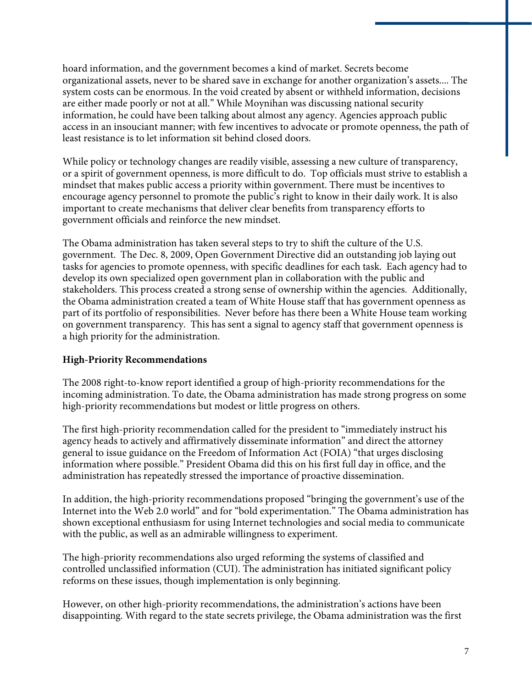hoard information, and the government becomes a kind of market. Secrets become organizational assets, never to be shared save in exchange for another organization's assets.... The system costs can be enormous. In the void created by absent or withheld information, decisions are either made poorly or not at all." While Moynihan was discussing national security information, he could have been talking about almost any agency. Agencies approach public access in an insouciant manner; with few incentives to advocate or promote openness, the path of least resistance is to let information sit behind closed doors.

While policy or technology changes are readily visible, assessing a new culture of transparency, or a spirit of government openness, is more difficult to do. Top officials must strive to establish a mindset that makes public access a priority within government. There must be incentives to encourage agency personnel to promote the public's right to know in their daily work. It is also important to create mechanisms that deliver clear benefits from transparency efforts to government officials and reinforce the new mindset.

The Obama administration has taken several steps to try to shift the culture of the U.S. government. The Dec. 8, 2009, Open Government Directive did an outstanding job laying out tasks for agencies to promote openness, with specific deadlines for each task. Each agency had to develop its own specialized open government plan in collaboration with the public and stakeholders. This process created a strong sense of ownership within the agencies. Additionally, the Obama administration created a team of White House staff that has government openness as part of its portfolio of responsibilities. Never before has there been a White House team working on government transparency. This has sent a signal to agency staff that government openness is a high priority for the administration.

#### **High-Priority Recommendations**

The 2008 right-to-know report identified a group of high-priority recommendations for the incoming administration. To date, the Obama administration has made strong progress on some high-priority recommendations but modest or little progress on others.

The first high-priority recommendation called for the president to "immediately instruct his agency heads to actively and affirmatively disseminate information" and direct the attorney general to issue guidance on the Freedom of Information Act (FOIA) "that urges disclosing information where possible." President Obama did this on his first full day in office, and the administration has repeatedly stressed the importance of proactive dissemination.

In addition, the high-priority recommendations proposed "bringing the government's use of the Internet into the Web 2.0 world" and for "bold experimentation." The Obama administration has shown exceptional enthusiasm for using Internet technologies and social media to communicate with the public, as well as an admirable willingness to experiment.

The high-priority recommendations also urged reforming the systems of classified and controlled unclassified information (CUI). The administration has initiated significant policy reforms on these issues, though implementation is only beginning.

However, on other high-priority recommendations, the administration's actions have been disappointing. With regard to the state secrets privilege, the Obama administration was the first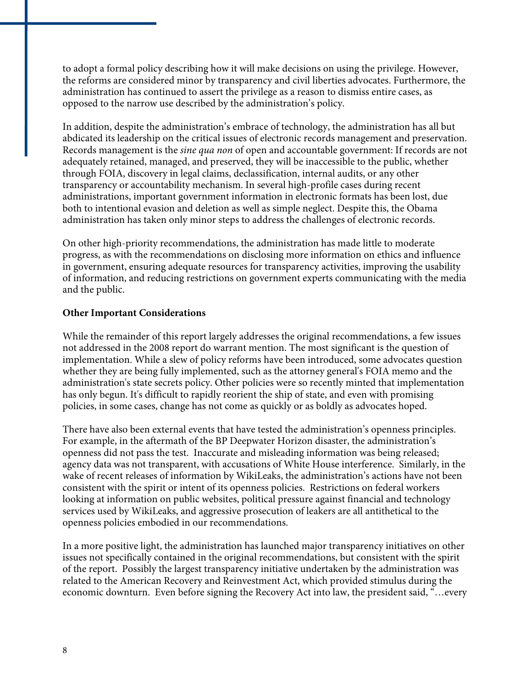to adopt a formal policy describing how it will make decisions on using the privilege. However, the reforms are considered minor by transparency and civil liberties advocates. Furthermore, the administration has continued to assert the privilege as a reason to dismiss entire cases, as opposed to the narrow use described by the administration's policy.

In addition, despite the administration's embrace of technology, the administration has all but abdicated its leadership on the critical issues of electronic records management and preservation. Records management is the *sine qua non* of open and accountable government: If records are not adequately retained, managed, and preserved, they will be inaccessible to the public, whether through FOIA, discovery in legal claims, declassification, internal audits, or any other transparency or accountability mechanism. In several high-profile cases during recent administrations, important government information in electronic formats has been lost, due both to intentional evasion and deletion as well as simple neglect. Despite this, the Obama administration has taken only minor steps to address the challenges of electronic records.

On other high-priority recommendations, the administration has made little to moderate progress, as with the recommendations on disclosing more information on ethics and influence in government, ensuring adequate resources for transparency activities, improving the usability of information, and reducing restrictions on government experts communicating with the media and the public.

#### **Other Important Considerations**

While the remainder of this report largely addresses the original recommendations, a few issues not addressed in the 2008 report do warrant mention. The most significant is the question of implementation. While a slew of policy reforms have been introduced, some advocates question whether they are being fully implemented, such as the attorney general's FOIA memo and the administration's state secrets policy. Other policies were so recently minted that implementation has only begun. It's difficult to rapidly reorient the ship of state, and even with promising policies, in some cases, change has not come as quickly or as boldly as advocates hoped.

There have also been external events that have tested the administration's openness principles. For example, in the aftermath of the BP Deepwater Horizon disaster, the administration's openness did not pass the test. Inaccurate and misleading information was being released; agency data was not transparent, with accusations of White House interference. Similarly, in the wake of recent releases of information by WikiLeaks, the administration's actions have not been consistent with the spirit or intent of its openness policies. Restrictions on federal workers looking at information on public websites, political pressure against financial and technology services used by WikiLeaks, and aggressive prosecution of leakers are all antithetical to the openness policies embodied in our recommendations.

In a more positive light, the administration has launched major transparency initiatives on other issues not specifically contained in the original recommendations, but consistent with the spirit of the report. Possibly the largest transparency initiative undertaken by the administration was related to the American Recovery and Reinvestment Act, which provided stimulus during the economic downturn. Even before signing the Recovery Act into law, the president said, "…every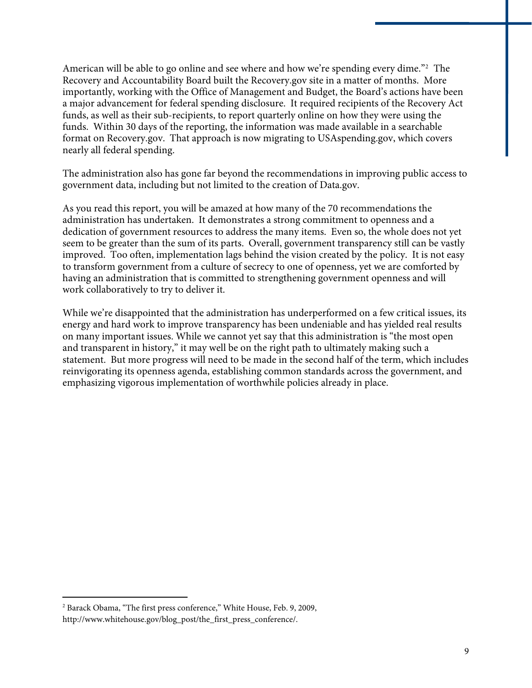American will be able to go online and see where and how we're spending every dime."<sup>[2](#page-10-0)</sup> The Recovery and Accountability Board built the Recovery.gov site in a matter of months. More importantly, working with the Office of Management and Budget, the Board's actions have been a major advancement for federal spending disclosure. It required recipients of the Recovery Act funds, as well as their sub-recipients, to report quarterly online on how they were using the funds. Within 30 days of the reporting, the information was made available in a searchable format on Recovery.gov. That approach is now migrating to USAspending.gov, which covers nearly all federal spending.

The administration also has gone far beyond the recommendations in improving public access to government data, including but not limited to the creation of Data.gov.

As you read this report, you will be amazed at how many of the 70 recommendations the administration has undertaken. It demonstrates a strong commitment to openness and a dedication of government resources to address the many items. Even so, the whole does not yet seem to be greater than the sum of its parts. Overall, government transparency still can be vastly improved. Too often, implementation lags behind the vision created by the policy. It is not easy to transform government from a culture of secrecy to one of openness, yet we are comforted by having an administration that is committed to strengthening government openness and will work collaboratively to try to deliver it.

While we're disappointed that the administration has underperformed on a few critical issues, its energy and hard work to improve transparency has been undeniable and has yielded real results on many important issues. While we cannot yet say that this administration is "the most open and transparent in history," it may well be on the right path to ultimately making such a statement. But more progress will need to be made in the second half of the term, which includes reinvigorating its openness agenda, establishing common standards across the government, and emphasizing vigorous implementation of worthwhile policies already in place.

1

<span id="page-10-0"></span><sup>2</sup> Barack Obama, "The first press conference," White House, Feb. 9, 2009, http://www.whitehouse.gov/blog\_post/the\_first\_press\_conference/.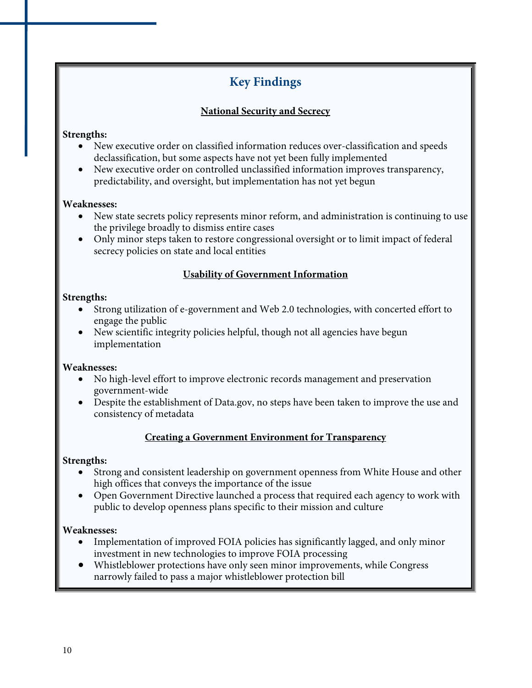## **Key Findings**

#### **National Security and Secrecy**

#### **Strengths:**

- New executive order on classified information reduces over-classification and speeds declassification, but some aspects have not yet been fully implemented
- New executive order on controlled unclassified information improves transparency, predictability, and oversight, but implementation has not yet begun

#### **Weaknesses:**

- New state secrets policy represents minor reform, and administration is continuing to use the privilege broadly to dismiss entire cases
- Only minor steps taken to restore congressional oversight or to limit impact of federal secrecy policies on state and local entities

#### **Usability of Government Information**

#### **Strengths:**

- Strong utilization of e-government and Web 2.0 technologies, with concerted effort to engage the public
- New scientific integrity policies helpful, though not all agencies have begun implementation

#### **Weaknesses:**

- No high-level effort to improve electronic records management and preservation government-wide
- Despite the establishment of Data.gov, no steps have been taken to improve the use and consistency of metadata

#### **Creating a Government Environment for Transparency**

#### **Strengths:**

- Strong and consistent leadership on government openness from White House and other high offices that conveys the importance of the issue
- Open Government Directive launched a process that required each agency to work with public to develop openness plans specific to their mission and culture

#### **Weaknesses:**

- Implementation of improved FOIA policies has significantly lagged, and only minor investment in new technologies to improve FOIA processing
- Whistleblower protections have only seen minor improvements, while Congress narrowly failed to pass a major whistleblower protection bill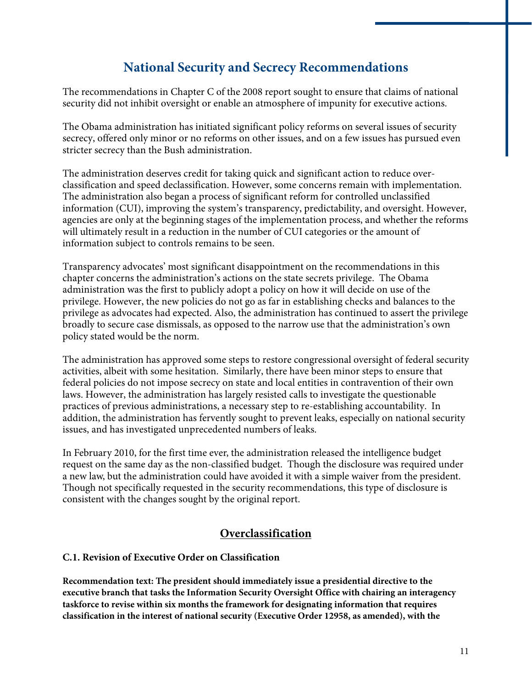## **National Security and Secrecy Recommendations**

The recommendations in Chapter C of the 2008 report sought to ensure that claims of national security did not inhibit oversight or enable an atmosphere of impunity for executive actions.

The Obama administration has initiated significant policy reforms on several issues of security secrecy, offered only minor or no reforms on other issues, and on a few issues has pursued even stricter secrecy than the Bush administration.

The administration deserves credit for taking quick and significant action to reduce overclassification and speed declassification. However, some concerns remain with implementation. The administration also began a process of significant reform for controlled unclassified information (CUI), improving the system's transparency, predictability, and oversight. However, agencies are only at the beginning stages of the implementation process, and whether the reforms will ultimately result in a reduction in the number of CUI categories or the amount of information subject to controls remains to be seen.

Transparency advocates' most significant disappointment on the recommendations in this chapter concerns the administration's actions on the state secrets privilege. The Obama administration was the first to publicly adopt a policy on how it will decide on use of the privilege. However, the new policies do not go as far in establishing checks and balances to the privilege as advocates had expected. Also, the administration has continued to assert the privilege broadly to secure case dismissals, as opposed to the narrow use that the administration's own policy stated would be the norm.

The administration has approved some steps to restore congressional oversight of federal security activities, albeit with some hesitation. Similarly, there have been minor steps to ensure that federal policies do not impose secrecy on state and local entities in contravention of their own laws. However, the administration has largely resisted calls to investigate the questionable practices of previous administrations, a necessary step to re-establishing accountability. In addition, the administration has fervently sought to prevent leaks, especially on national security issues, and has investigated unprecedented numbers of leaks.

In February 2010, for the first time ever, the administration released the intelligence budget request on the same day as the non-classified budget. Though the disclosure was required under a new law, but the administration could have avoided it with a simple waiver from the president. Though not specifically requested in the security recommendations, this type of disclosure is consistent with the changes sought by the original report.

#### **Overclassification**

#### **C.1. Revision of Executive Order on Classification**

**Recommendation text: The president should immediately issue a presidential directive to the executive branch that tasks the Information Security Oversight Office with chairing an interagency taskforce to revise within six months the framework for designating information that requires classification in the interest of national security (Executive Order 12958, as amended), with the**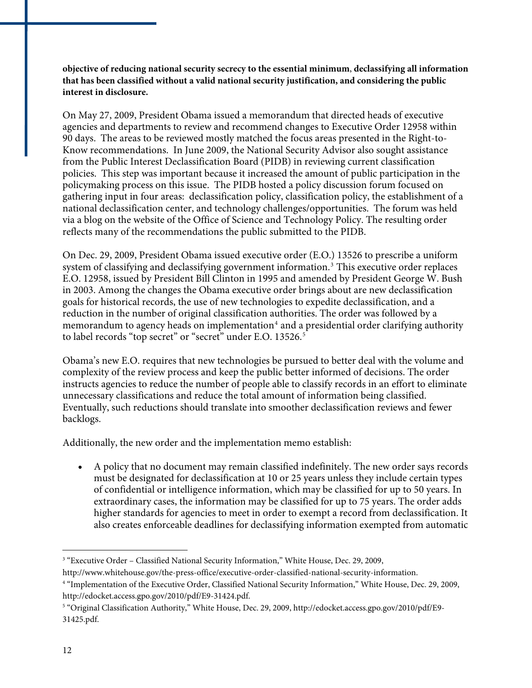**objective of reducing national security secrecy to the essential minimum**, **declassifying all information that has been classified without a valid national security justification, and considering the public interest in disclosure.** 

On May 27, 2009, President Obama issued a memorandum that directed heads of executive agencies and departments to review and recommend changes to Executive Order 12958 within 90 days. The areas to be reviewed mostly matched the focus areas presented in the Right-to-Know recommendations. In June 2009, the National Security Advisor also sought assistance from the Public Interest Declassification Board (PIDB) in reviewing current classification policies. This step was important because it increased the amount of public participation in the policymaking process on this issue. The PIDB hosted a policy discussion forum focused on gathering input in four areas: declassification policy, classification policy, the establishment of a national declassification center, and technology challenges/opportunities. The forum was held via a blog on the website of the Office of Science and Technology Policy. The resulting order reflects many of the recommendations the public submitted to the PIDB.

On Dec. 29, 2009, President Obama issued executive order (E.O.) 13526 to prescribe a uniform system of classifying and declassifying government information.<sup>[3](#page-13-0)</sup> This executive order replaces E.O. 12958, issued by President Bill Clinton in 1995 and amended by President George W. Bush in 2003. Among the changes the Obama executive order brings about are new declassification goals for historical records, the use of new technologies to expedite declassification, and a reduction in the number of original classification authorities. The order was followed by a memorandum to agency heads on implementation<sup>[4](#page-13-1)</sup> and a presidential order clarifying authority to label records "top secret" or "secret" under E.O. 13[5](#page-13-2)26.<sup>5</sup>

Obama's new E.O. requires that new technologies be pursued to better deal with the volume and complexity of the review process and keep the public better informed of decisions. The order instructs agencies to reduce the number of people able to classify records in an effort to eliminate unnecessary classifications and reduce the total amount of information being classified. Eventually, such reductions should translate into smoother declassification reviews and fewer backlogs.

Additionally, the new order and the implementation memo establish:

 A policy that no document may remain classified indefinitely. The new order says records must be designated for declassification at 10 or 25 years unless they include certain types of confidential or intelligence information, which may be classified for up to 50 years. In extraordinary cases, the information may be classified for up to 75 years. The order adds higher standards for agencies to meet in order to exempt a record from declassification. It also creates enforceable deadlines for declassifying information exempted from automatic

<span id="page-13-0"></span><sup>&</sup>lt;sup>3</sup> "Executive Order – Classified National Security Information," White House, Dec. 29, 2009,

http://www.whitehouse.gov/the-press-office/executive-order-classified-national-security-information.

<span id="page-13-1"></span><sup>4</sup> "Implementation of the Executive Order, Classified National Security Information," White House, Dec. 29, 2009, http://edocket.access.gpo.gov/2010/pdf/E9-31424.pdf.

<span id="page-13-2"></span><sup>5</sup> "Original Classification Authority," White House, Dec. 29, 2009, http://edocket.access.gpo.gov/2010/pdf/E9- 31425.pdf.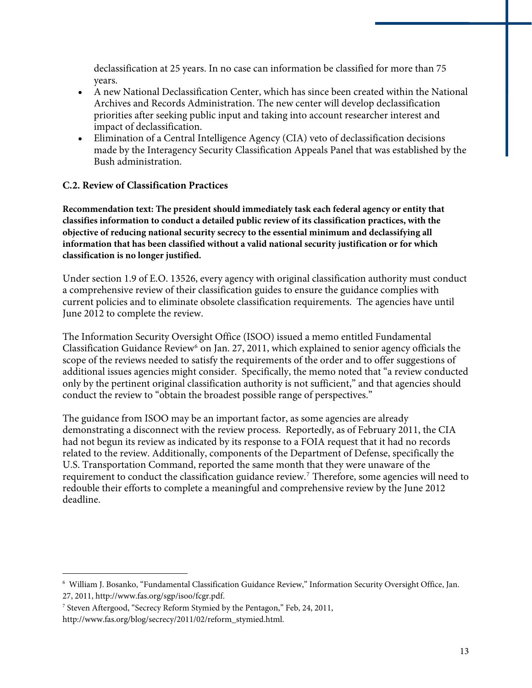declassification at 25 years. In no case can information be classified for more than 75 years.

- A new National Declassification Center, which has since been created within the National Archives and Records Administration. The new center will develop declassification priorities after seeking public input and taking into account researcher interest and impact of declassification.
- Elimination of a Central Intelligence Agency (CIA) veto of declassification decisions made by the Interagency Security Classification Appeals Panel that was established by the Bush administration.

#### **C.2. Review of Classification Practices**

**Recommendation text: The president should immediately task each federal agency or entity that classifies information to conduct a detailed public review of its classification practices, with the objective of reducing national security secrecy to the essential minimum and declassifying all information that has been classified without a valid national security justification or for which classification is no longer justified.**

Under section 1.9 of E.O. 13526, every agency with original classification authority must conduct a comprehensive review of their classification guides to ensure the guidance complies with current policies and to eliminate obsolete classification requirements. The agencies have until June 2012 to complete the review.

The Information Security Oversight Office (ISOO) issued a memo entitled Fundamental Classification Guidance Review<sup>[6](#page-14-0)</sup> on Jan. 27, 2011, which explained to senior agency officials the scope of the reviews needed to satisfy the requirements of the order and to offer suggestions of additional issues agencies might consider. Specifically, the memo noted that "a review conducted only by the pertinent original classification authority is not sufficient," and that agencies should conduct the review to "obtain the broadest possible range of perspectives."

The guidance from ISOO may be an important factor, as some agencies are already demonstrating a disconnect with the review process. Reportedly, as of February 2011, the CIA had not begun its review as indicated by its response to a FOIA request that it had no records related to the review. Additionally, components of the Department of Defense, specifically the U.S. Transportation Command, reported the same month that they were unaware of the requirement to conduct the classification guidance review.[7](#page-14-1) Therefore, some agencies will need to redouble their efforts to complete a meaningful and comprehensive review by the June 2012 deadline.

<span id="page-14-0"></span><sup>6</sup> William J. Bosanko, "Fundamental Classification Guidance Review," Information Security Oversight Office, Jan. 27, 2011, http://www.fas.org/sgp/isoo/fcgr.pdf.

<span id="page-14-1"></span><sup>7</sup> Steven Aftergood, "Secrecy Reform Stymied by the Pentagon," Feb, 24, 2011,

http://www.fas.org/blog/secrecy/2011/02/reform\_stymied.html.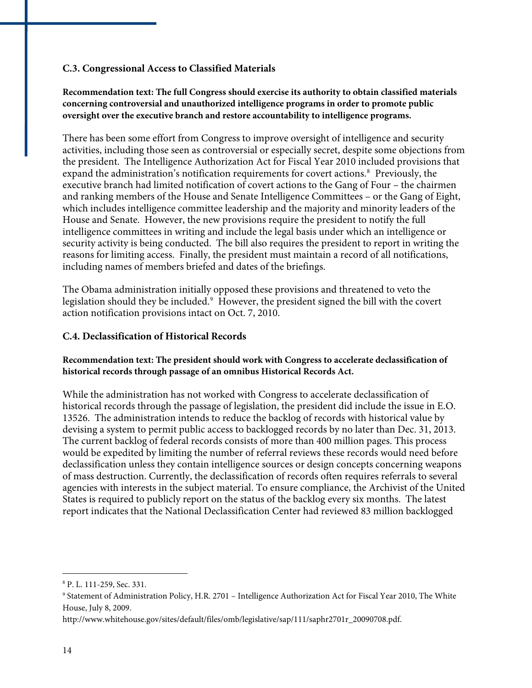#### **C.3. Congressional Access to Classified Materials**

#### **Recommendation text: The full Congress should exercise its authority to obtain classified materials concerning controversial and unauthorized intelligence programs in order to promote public oversight over the executive branch and restore accountability to intelligence programs.**

There has been some effort from Congress to improve oversight of intelligence and security activities, including those seen as controversial or especially secret, despite some objections from the president. The Intelligence Authorization Act for Fiscal Year 2010 included provisions that expand the administration's notification requirements for covert actions.<sup>[8](#page-15-0)</sup> Previously, the executive branch had limited notification of covert actions to the Gang of Four – the chairmen and ranking members of the House and Senate Intelligence Committees – or the Gang of Eight, which includes intelligence committee leadership and the majority and minority leaders of the House and Senate. However, the new provisions require the president to notify the full intelligence committees in writing and include the legal basis under which an intelligence or security activity is being conducted. The bill also requires the president to report in writing the reasons for limiting access. Finally, the president must maintain a record of all notifications, including names of members briefed and dates of the briefings.

action notification provisions intact on Oct. 7, 2010. The Obama administration initially opposed these provisions and threatened to veto the legislation should they be included.<sup>[9](#page-15-1)</sup> However, the president signed the bill with the covert

#### **C.4. Declassification of Historical Records**

#### **Recommendation text: The president should work with Congress to accelerate declassification of historical records through passage of an omnibus Historical Records Act.**

While the administration has not worked with Congress to accelerate declassification of historical records through the passage of legislation, the president did include the issue in E.O. 13526. The administration intends to reduce the backlog of records with historical value by devising a system to permit public access to backlogged records by no later than Dec. 31, 2013. The current backlog of federal records consists of more than 400 million pages. This process would be expedited by limiting the number of referral reviews these records would need before declassification unless they contain intelligence sources or design concepts concerning weapons of mass destruction. Currently, the declassification of records often requires referrals to several agencies with interests in the subject material. To ensure compliance, the Archivist of the United States is required to publicly report on the status of the backlog every six months. The latest report indicates that the National Declassification Center had reviewed 83 million backlogged

<u>.</u>

<span id="page-15-0"></span><sup>8</sup> P. L. 111-259, Sec. 331.

<span id="page-15-1"></span><sup>9</sup> Statement of Administration Policy, H.R. 2701 – Intelligence Authorization Act for Fiscal Year 2010, The White House, July 8, 2009.

http://www.whitehouse.gov/sites/default/files/omb/legislative/sap/111/saphr2701r\_20090708.pdf.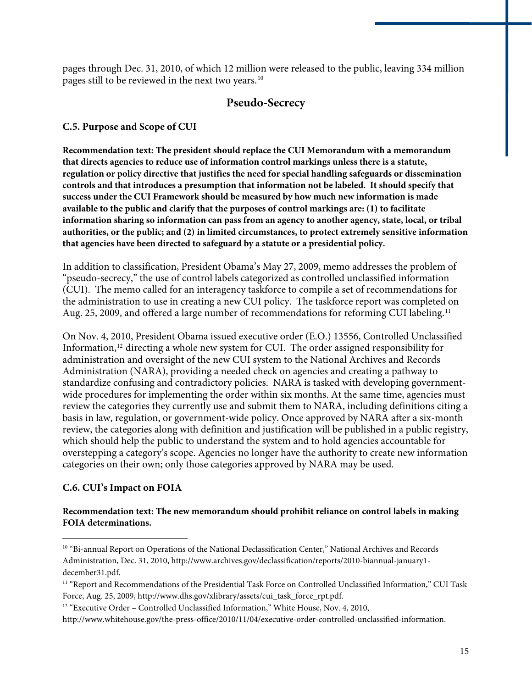pages through Dec. 31, 2010, of which 12 million were released to the public, leaving 334 million pages still to be reviewed in the next two years.[10](#page-16-0)

#### **Pseudo-Secrecy**

#### **C.5. Purpose and Scope of CUI**

**Recommendation text: The president should replace the CUI Memorandum with a memorandum that directs agencies to reduce use of information control markings unless there is a statute, regulation or policy directive that justifies the need for special handling safeguards or dissemination controls and that introduces a presumption that information not be labeled. It should specify that success under the CUI Framework should be measured by how much new information is made available to the public and clarify that the purposes of control markings are: (1) to facilitate information sharing so information can pass from an agency to another agency, state, local, or tribal authorities, or the public; and (2) in limited circumstances, to protect extremely sensitive information that agencies have been directed to safeguard by a statute or a presidential policy.** 

In addition to classification, President Obama's May 27, 2009, memo addresses the problem of "pseudo-secrecy," the use of control labels categorized as controlled unclassified information (CUI). The memo called for an interagency taskforce to compile a set of recommendations for the administration to use in creating a new CUI policy. The taskforce report was completed on Aug. 25, 2009, and offered a large number of recommendations for reforming CUI labeling.<sup>[11](#page-16-1)</sup>

On Nov. 4, 2010, President Obama issued executive order (E.O.) 13556, Controlled Unclassified Information,<sup>[12](#page-16-2)</sup> directing a whole new system for CUI. The order assigned responsibility for administration and oversight of the new CUI system to the National Archives and Records Administration (NARA), providing a needed check on agencies and creating a pathway to standardize confusing and contradictory policies. NARA is tasked with developing governmentwide procedures for implementing the order within six months. At the same time, agencies must review the categories they currently use and submit them to NARA, including definitions citing a basis in law, regulation, or government-wide policy. Once approved by NARA after a six-month review, the categories along with definition and justification will be published in a public registry, which should help the public to understand the system and to hold agencies accountable for overstepping a category's scope. Agencies no longer have the authority to create new information categories on their own; only those categories approved by NARA may be used.

#### **C.6. CUI's Impact on FOIA**

 $\overline{a}$ 

#### **Recommendation text: The new memorandum should prohibit reliance on control labels in making FOIA determinations.**

<span id="page-16-0"></span><sup>&</sup>lt;sup>10</sup> "Bi-annual Report on Operations of the National Declassification Center," National Archives and Records Administration, Dec. 31, 2010, http://www.archives.gov/declassification/reports/2010-biannual-january1 december31.pdf.

<span id="page-16-1"></span><sup>&</sup>lt;sup>11</sup> "Report and Recommendations of the Presidential Task Force on Controlled Unclassified Information," CUI Task Force, Aug. 25, 2009, http://www.dhs.gov/xlibrary/assets/cui\_task\_force\_rpt.pdf.

<span id="page-16-2"></span><sup>&</sup>lt;sup>12</sup> "Executive Order – Controlled Unclassified Information," White House, Nov. 4, 2010,

http://www.whitehouse.gov/the-press-office/2010/11/04/executive-order-controlled-unclassified-information.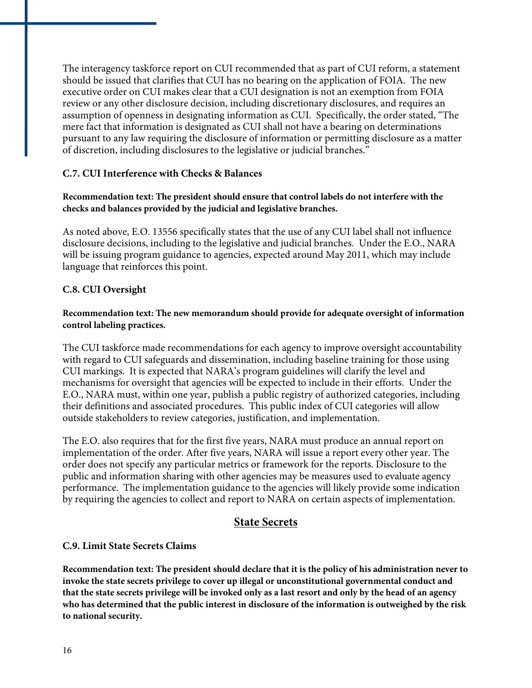The interagency taskforce report on CUI recommended that as part of CUI reform, a statement should be issued that clarifies that CUI has no bearing on the application of FOIA. The new executive order on CUI makes clear that a CUI designation is not an exemption from FOIA review or any other disclosure decision, including discretionary disclosures, and requires an assumption of openness in designating information as CUI. Specifically, the order stated, "The mere fact that information is designated as CUI shall not have a bearing on determinations pursuant to any law requiring the disclosure of information or permitting disclosure as a matter of discretion, including disclosures to the legislative or judicial branches."

#### **C.7. CUI Interference with Checks & Balances**

#### **Recommendation text: The president should ensure that control labels do not interfere with the checks and balances provided by the judicial and legislative branches.**

As noted above, E.O. 13556 specifically states that the use of any CUI label shall not influence disclosure decisions, including to the legislative and judicial branches. Under the E.O., NARA will be issuing program guidance to agencies, expected around May 2011, which may include language that reinforces this point.

#### **C.8. CUI Oversight**

#### **Recommendation text: The new memorandum should provide for adequate oversight of information control labeling practices.**

The CUI taskforce made recommendations for each agency to improve oversight accountability with regard to CUI safeguards and dissemination, including baseline training for those using CUI markings. It is expected that NARA's program guidelines will clarify the level and mechanisms for oversight that agencies will be expected to include in their efforts. Under the E.O., NARA must, within one year, publish a public registry of authorized categories, including their definitions and associated procedures. This public index of CUI categories will allow outside stakeholders to review categories, justification, and implementation.

The E.O. also requires that for the first five years, NARA must produce an annual report on implementation of the order. After five years, NARA will issue a report every other year. The order does not specify any particular metrics or framework for the reports. Disclosure to the public and information sharing with other agencies may be measures used to evaluate agency performance. The implementation guidance to the agencies will likely provide some indication by requiring the agencies to collect and report to NARA on certain aspects of implementation.

#### **State Secrets**

#### **C.9. Limit State Secrets Claims**

**Recommendation text: The president should declare that it is the policy of his administration never to invoke the state secrets privilege to cover up illegal or unconstitutional governmental conduct and that the state secrets privilege will be invoked only as a last resort and only by the head of an agency who has determined that the public interest in disclosure of the information is outweighed by the risk to national security.**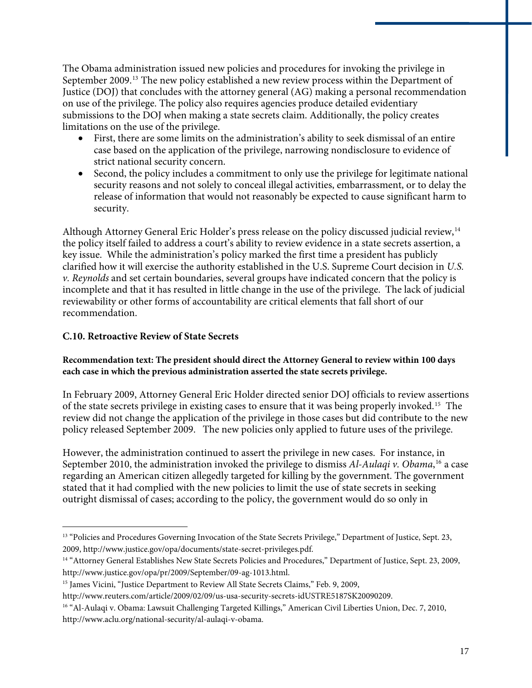The Obama administration issued new policies and procedures for invoking the privilege in September 2009.[13](#page-18-0) The new policy established a new review process within the Department of Justice (DOJ) that concludes with the attorney general (AG) making a personal recommendation on use of the privilege. The policy also requires agencies produce detailed evidentiary submissions to the DOJ when making a state secrets claim. Additionally, the policy creates limitations on the use of the privilege.

- First, there are some limits on the administration's ability to seek dismissal of an entire case based on the application of the privilege, narrowing nondisclosure to evidence of strict national security concern.
- Second, the policy includes a commitment to only use the privilege for legitimate national security reasons and not solely to conceal illegal activities, embarrassment, or to delay the release of information that would not reasonably be expected to cause significant harm to security.

Although Attorney General Eric Holder's press release on the policy discussed judicial review,[14](#page-18-1) the policy itself failed to address a court's ability to review evidence in a state secrets assertion, a key issue. While the administration's policy marked the first time a president has publicly clarified how it will exercise the authority established in the U.S. Supreme Court decision in *U.S. v. Reynolds* and set certain boundaries, several groups have indicated concern that the policy is incomplete and that it has resulted in little change in the use of the privilege. The lack of judicial reviewability or other forms of accountability are critical elements that fall short of our recommendation.

#### **C.10. Retroactive Review of State Secrets**

<u>.</u>

#### **Recommendation text: The president should direct the Attorney General to review within 100 days each case in which the previous administration asserted the state secrets privilege.**

In February 2009, Attorney General Eric Holder directed senior DOJ officials to review assertions of the state secrets privilege in existing cases to ensure that it was being properly invoked.[15](#page-18-2) The review did not change the application of the privilege in those cases but did contribute to the new policy released September 2009. The new policies only applied to future uses of the privilege.

However, the administration continued to assert the privilege in new cases. For instance, in September 2010, the administration invoked the privilege to dismiss *Al-Aulaqi v. Obama*, [16](#page-18-3) a case regarding an American citizen allegedly targeted for killing by the government. The government stated that it had complied with the new policies to limit the use of state secrets in seeking outright dismissal of cases; according to the policy, the government would do so only in

<span id="page-18-0"></span><sup>&</sup>lt;sup>13</sup> "Policies and Procedures Governing Invocation of the State Secrets Privilege," Department of Justice, Sept. 23, 2009, http://www.justice.gov/opa/documents/state-secret-privileges.pdf.

<span id="page-18-1"></span><sup>&</sup>lt;sup>14</sup> "Attorney General Establishes New State Secrets Policies and Procedures," Department of Justice, Sept. 23, 2009, http://www.justice.gov/opa/pr/2009/September/09-ag-1013.html.

<span id="page-18-2"></span><sup>&</sup>lt;sup>15</sup> James Vicini, "Justice Department to Review All State Secrets Claims," Feb. 9, 2009,

http://www.reuters.com/article/2009/02/09/us-usa-security-secrets-idUSTRE5187SK20090209.

<span id="page-18-3"></span><sup>&</sup>lt;sup>16</sup> "Al-Aulaqi v. Obama: Lawsuit Challenging Targeted Killings," American Civil Liberties Union, Dec. 7, 2010, http://www.aclu.org/national-security/al-aulaqi-v-obama.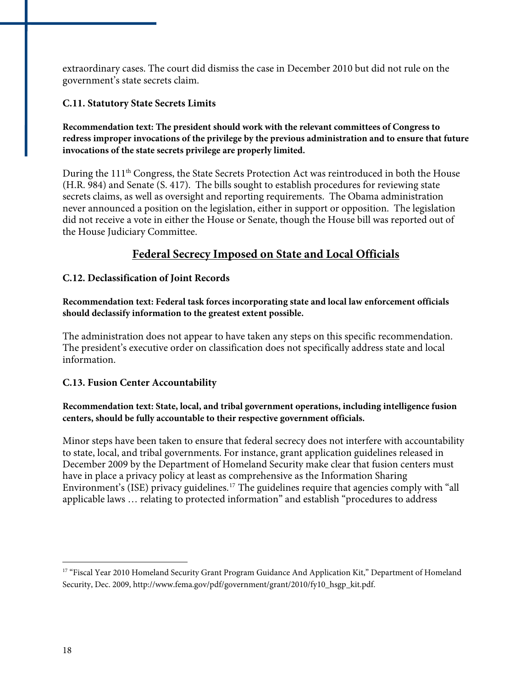extraordinary cases. The court did dismiss the case in December 2010 but did not rule on the government's state secrets claim.

#### **C.11. Statutory State Secrets Limits**

#### **Recommendation text: The president should work with the relevant committees of Congress to redress improper invocations of the privilege by the previous administration and to ensure that future invocations of the state secrets privilege are properly limited.**

During the 111<sup>th</sup> Congress, the State Secrets Protection Act was reintroduced in both the House (H.R. 984) and Senate (S. 417). The bills sought to establish procedures for reviewing state secrets claims, as well as oversight and reporting requirements. The Obama administration never announced a position on the legislation, either in support or opposition. The legislation did not receive a vote in either the House or Senate, though the House bill was reported out of the House Judiciary Committee.

#### **Federal Secrecy Imposed on State and Local Officials**

#### **C.12. Declassification of Joint Records**

**Recommendation text: Federal task forces incorporating state and local law enforcement officials should declassify information to the greatest extent possible.** 

The administration does not appear to have taken any steps on this specific recommendation. The president's executive order on classification does not specifically address state and local information.

#### **C.13. Fusion Center Accountability**

#### **Recommendation text: State, local, and tribal government operations, including intelligence fusion centers, should be fully accountable to their respective government officials.**

Minor steps have been taken to ensure that federal secrecy does not interfere with accountability to state, local, and tribal governments. For instance, grant application guidelines released in December 2009 by the Department of Homeland Security make clear that fusion centers must have in place a privacy policy at least as comprehensive as the Information Sharing Environment's (ISE) privacy guidelines.[17](#page-19-0) The guidelines require that agencies comply with "all applicable laws … relating to protected information" and establish "procedures to address

<u>.</u>

<span id="page-19-0"></span><sup>&</sup>lt;sup>17</sup> "Fiscal Year 2010 Homeland Security Grant Program Guidance And Application Kit," Department of Homeland Security, Dec. 2009, http://www.fema.gov/pdf/government/grant/2010/fy10\_hsgp\_kit.pdf.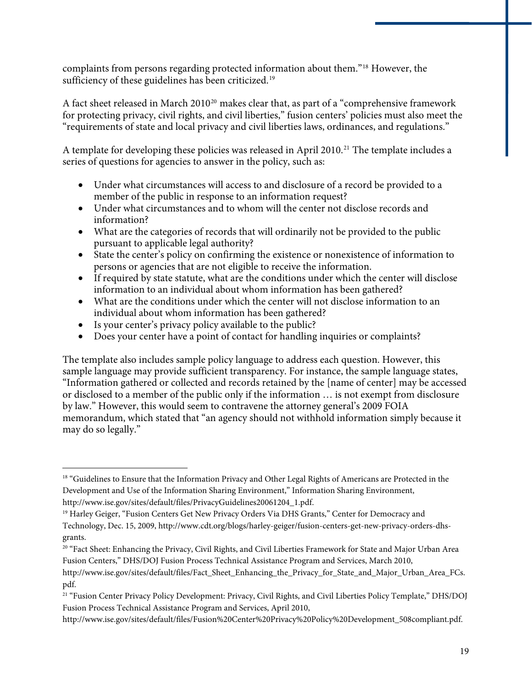complaints from persons regarding protected information about them."[18](#page-20-0) However, the sufficiency of these guidelines has been criticized.<sup>[19](#page-20-1)</sup>

A fact sheet released in March [20](#page-20-2)10<sup>20</sup> makes clear that, as part of a "comprehensive framework for protecting privacy, civil rights, and civil liberties," fusion centers' policies must also meet the "requirements of state and local privacy and civil liberties laws, ordinances, and regulations."

A template for developing these policies was released in April 2010.<sup>[21](#page-20-3)</sup> The template includes a series of questions for agencies to answer in the policy, such as:

- Under what circumstances will access to and disclosure of a record be provided to a member of the public in response to an information request?
- Under what circumstances and to whom will the center not disclose records and information?
- What are the categories of records that will ordinarily not be provided to the public pursuant to applicable legal authority?
- State the center's policy on confirming the existence or nonexistence of information to persons or agencies that are not eligible to receive the information.
- If required by state statute, what are the conditions under which the center will disclose information to an individual about whom information has been gathered?
- What are the conditions under which the center will not disclose information to an individual about whom information has been gathered?
- Is your center's privacy policy available to the public?

 $\overline{a}$ 

Does your center have a point of contact for handling inquiries or complaints?

The template also includes sample policy language to address each question. However, this sample language may provide sufficient transparency. For instance, the sample language states, "Information gathered or collected and records retained by the [name of center] may be accessed or disclosed to a member of the public only if the information … is not exempt from disclosure by law." However, this would seem to contravene the attorney general's 2009 FOIA memorandum, which stated that "an agency should not withhold information simply because it may do so legally."

<span id="page-20-0"></span><sup>&</sup>lt;sup>18</sup> "Guidelines to Ensure that the Information Privacy and Other Legal Rights of Americans are Protected in the Development and Use of the Information Sharing Environment," Information Sharing Environment, http://www.ise.gov/sites/default/files/PrivacyGuidelines20061204\_1.pdf.

<span id="page-20-1"></span><sup>&</sup>lt;sup>19</sup> Harley Geiger, "Fusion Centers Get New Privacy Orders Via DHS Grants," Center for Democracy and Technology, Dec. 15, 2009, http://www.cdt.org/blogs/harley-geiger/fusion-centers-get-new-privacy-orders-dhsgrants.

<span id="page-20-2"></span><sup>&</sup>lt;sup>20</sup> "Fact Sheet: Enhancing the Privacy, Civil Rights, and Civil Liberties Framework for State and Major Urban Area Fusion Centers," DHS/DOJ Fusion Process Technical Assistance Program and Services, March 2010,

http://www.ise.gov/sites/default/files/Fact\_Sheet\_Enhancing\_the\_Privacy\_for\_State\_and\_Major\_Urban\_Area\_FCs. pdf.

<span id="page-20-3"></span><sup>&</sup>lt;sup>21</sup> "Fusion Center Privacy Policy Development: Privacy, Civil Rights, and Civil Liberties Policy Template," DHS/DOJ Fusion Process Technical Assistance Program and Services, April 2010,

http://www.ise.gov/sites/default/files/Fusion%20Center%20Privacy%20Policy%20Development\_508compliant.pdf.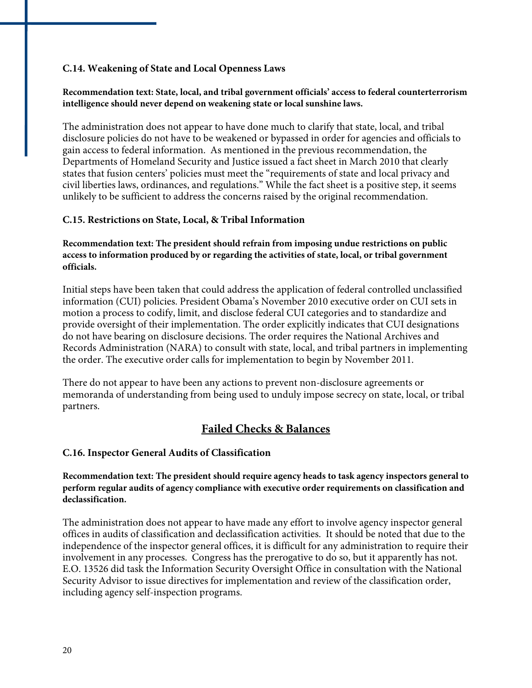#### **C.14. Weakening of State and Local Openness Laws**

#### **Recommendation text: State, local, and tribal government officials' access to federal counterterrorism intelligence should never depend on weakening state or local sunshine laws.**

The administration does not appear to have done much to clarify that state, local, and tribal disclosure policies do not have to be weakened or bypassed in order for agencies and officials to gain access to federal information. As mentioned in the previous recommendation, the Departments of Homeland Security and Justice issued a fact sheet in March 2010 that clearly states that fusion centers' policies must meet the "requirements of state and local privacy and civil liberties laws, ordinances, and regulations." While the fact sheet is a positive step, it seems unlikely to be sufficient to address the concerns raised by the original recommendation.

#### **C.15. Restrictions on State, Local, & Tribal Information**

#### **Recommendation text: The president should refrain from imposing undue restrictions on public access to information produced by or regarding the activities of state, local, or tribal government officials.**

Initial steps have been taken that could address the application of federal controlled unclassified information (CUI) policies. President Obama's November 2010 executive order on CUI sets in motion a process to codify, limit, and disclose federal CUI categories and to standardize and provide oversight of their implementation. The order explicitly indicates that CUI designations do not have bearing on disclosure decisions. The order requires the National Archives and Records Administration (NARA) to consult with state, local, and tribal partners in implementing the order. The executive order calls for implementation to begin by November 2011.

There do not appear to have been any actions to prevent non-disclosure agreements or memoranda of understanding from being used to unduly impose secrecy on state, local, or tribal partners.

#### **Failed Checks & Balances**

#### **C.16. Inspector General Audits of Classification**

**Recommendation text: The president should require agency heads to task agency inspectors general to perform regular audits of agency compliance with executive order requirements on classification and declassification.** 

The administration does not appear to have made any effort to involve agency inspector general offices in audits of classification and declassification activities. It should be noted that due to the independence of the inspector general offices, it is difficult for any administration to require their involvement in any processes. Congress has the prerogative to do so, but it apparently has not. E.O. 13526 did task the Information Security Oversight Office in consultation with the National Security Advisor to issue directives for implementation and review of the classification order, including agency self-inspection programs.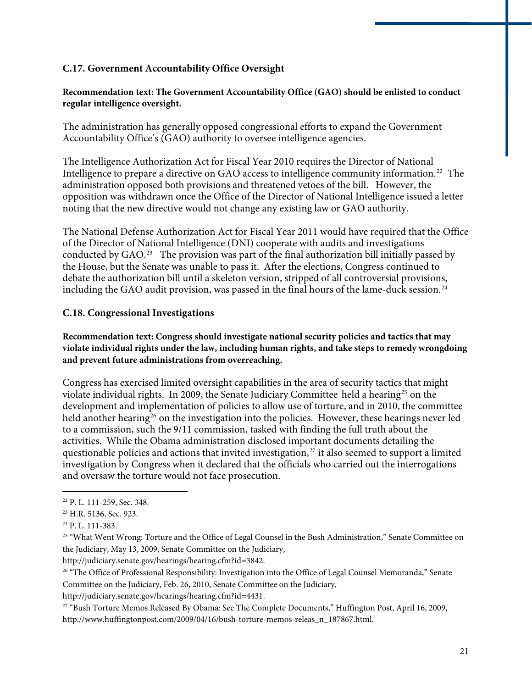#### **C.17. Government Accountability Office Oversight**

#### **Recommendation text: The Government Accountability Office (GAO) should be enlisted to conduct regular intelligence oversight.**

The administration has generally opposed congressional efforts to expand the Government Accountability Office's (GAO) authority to oversee intelligence agencies.

The Intelligence Authorization Act for Fiscal Year 2010 requires the Director of National Intelligence to prepare a directive on GAO access to intelligence community information.<sup>[22](#page-22-0)</sup> The administration opposed both provisions and threatened vetoes of the bill. However, the opposition was withdrawn once the Office of the Director of National Intelligence issued a letter noting that the new directive would not change any existing law or GAO authority.

The National Defense Authorization Act for Fiscal Year 2011 would have required that the Office of the Director of National Intelligence (DNI) cooperate with audits and investigations conducted by GAO.[23](#page-22-1) The provision was part of the final authorization bill initially passed by the House, but the Senate was unable to pass it. After the elections, Congress continued to debate the authorization bill until a skeleton version, stripped of all controversial provisions, including the GAO audit provision, was passed in the final hours of the lame-duck session.<sup>[24](#page-22-2)</sup>

#### **C.18. Congressional Investigations**

**Recommendation text: Congress should investigate national security policies and tactics that may violate individual rights under the law, including human rights, and take steps to remedy wrongdoing and prevent future administrations from overreaching.** 

Congress has exercised limited oversight capabilities in the area of security tactics that might violate individual rights. In 2009, the Senate Judiciary Committee held a hearing<sup>[25](#page-22-3)</sup> on the development and implementation of policies to allow use of torture, and in 2010, the committee held another hearing<sup>[26](#page-22-4)</sup> on the investigation into the policies. However, these hearings never led to a commission, such the 9/11 commission, tasked with finding the full truth about the activities. While the Obama administration disclosed important documents detailing the questionable policies and actions that invited investigation, $27$  it also seemed to support a limited investigation by Congress when it declared that the officials who carried out the interrogations and oversaw the torture would not face prosecution.

 $\overline{a}$ 

http://judiciary.senate.gov/hearings/hearing.cfm?id=3842.

http://judiciary.senate.gov/hearings/hearing.cfm?id=4431.

<span id="page-22-5"></span>27 "Bush Torture Memos Released By Obama: See The Complete Documents," Huffington Post, April 16, 2009, http://www.huffingtonpost.com/2009/04/16/bush-torture-memos-releas\_n\_187867.html.

<span id="page-22-0"></span><sup>22</sup> P. L. 111-259, Sec. 348.

<span id="page-22-1"></span><sup>23</sup> H.R. 5136, Sec. 923.

<span id="page-22-2"></span> $^{24}$  P. L. 111-383.

<span id="page-22-3"></span><sup>&</sup>lt;sup>25</sup> "What Went Wrong: Torture and the Office of Legal Counsel in the Bush Administration," Senate Committee on the Judiciary, May 13, 2009, Senate Committee on the Judiciary,

<span id="page-22-4"></span><sup>&</sup>lt;sup>26</sup> "The Office of Professional Responsibility: Investigation into the Office of Legal Counsel Memoranda," Senate Committee on the Judiciary, Feb. 26, 2010, Senate Committee on the Judiciary,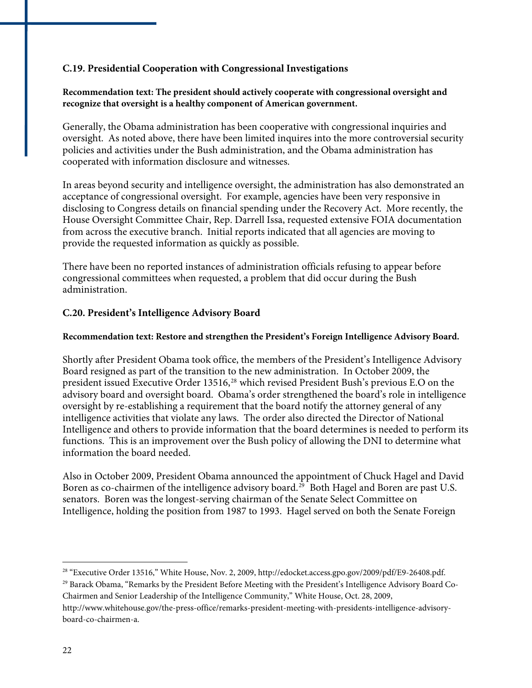#### **C.19. Presidential Cooperation with Congressional Investigations**

#### **Recommendation text: The president should actively cooperate with congressional oversight and recognize that oversight is a healthy component of American government.**

Generally, the Obama administration has been cooperative with congressional inquiries and oversight. As noted above, there have been limited inquires into the more controversial security policies and activities under the Bush administration, and the Obama administration has cooperated with information disclosure and witnesses.

In areas beyond security and intelligence oversight, the administration has also demonstrated an acceptance of congressional oversight. For example, agencies have been very responsive in disclosing to Congress details on financial spending under the Recovery Act. More recently, the House Oversight Committee Chair, Rep. Darrell Issa, requested extensive FOIA documentation from across the executive branch. Initial reports indicated that all agencies are moving to provide the requested information as quickly as possible.

There have been no reported instances of administration officials refusing to appear before congressional committees when requested, a problem that did occur during the Bush administration.

#### **C.20. President's Intelligence Advisory Board**

#### **Recommendation text: Restore and strengthen the President's Foreign Intelligence Advisory Board.**

Shortly after President Obama took office, the members of the President's Intelligence Advisory Board resigned as part of the transition to the new administration. In October 2009, the president issued Executive Order 13516,<sup>[28](#page-23-0)</sup> which revised President Bush's previous E.O on the advisory board and oversight board. Obama's order strengthened the board's role in intelligence oversight by re-establishing a requirement that the board notify the attorney general of any intelligence activities that violate any laws. The order also directed the Director of National Intelligence and others to provide information that the board determines is needed to perform its functions. This is an improvement over the Bush policy of allowing the DNI to determine what information the board needed.

Also in October 2009, President Obama announced the appointment of Chuck Hagel and David Boren as co-chairmen of the intelligence advisory board.<sup>[29](#page-23-1)</sup> Both Hagel and Boren are past U.S. senators. Boren was the longest-serving chairman of the Senate Select Committee on Intelligence, holding the position from 1987 to 1993. Hagel served on both the Senate Foreign

<span id="page-23-0"></span><sup>28 &</sup>quot;Executive Order 13516," White House, Nov. 2, 2009, http://edocket.access.gpo.gov/2009/pdf/E9-26408.pdf.

<span id="page-23-1"></span><sup>29</sup> Barack Obama, "Remarks by the President Before Meeting with the President's Intelligence Advisory Board Co-Chairmen and Senior Leadership of the Intelligence Community," White House, Oct. 28, 2009, http://www.whitehouse.gov/the-press-office/remarks-president-meeting-with-presidents-intelligence-advisory-

board-co-chairmen-a.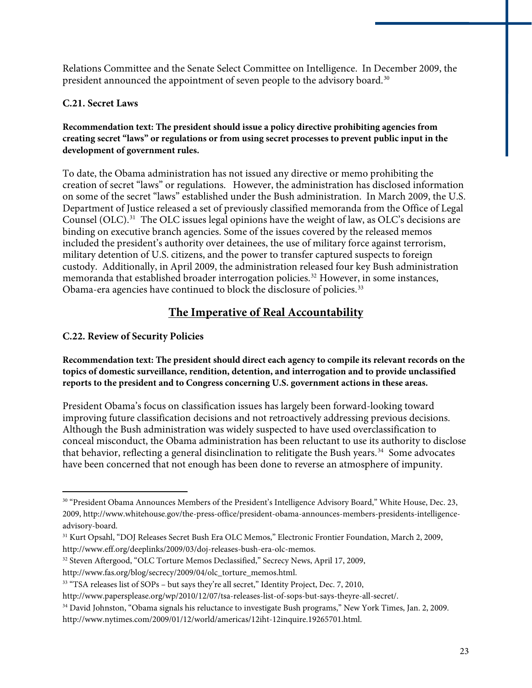Relations Committee and the Senate Select Committee on Intelligence. In December 2009, the president announced the appointment of seven people to the advisory board.<sup>[30](#page-24-0)</sup>

#### **C.21. Secret Laws**

#### **Recommendation text: The president should issue a policy directive prohibiting agencies from creating secret "laws" or regulations or from using secret processes to prevent public input in the development of government rules.**

To date, the Obama administration has not issued any directive or memo prohibiting the creation of secret "laws" or regulations. However, the administration has disclosed information on some of the secret "laws" established under the Bush administration. In March 2009, the U.S. Department of Justice released a set of previously classified memoranda from the Office of Legal Counsel (OLC).[31](#page-24-1) The OLC issues legal opinions have the weight of law, as OLC's decisions are binding on executive branch agencies. Some of the issues covered by the released memos included the president's authority over detainees, the use of military force against terrorism, military detention of U.S. citizens, and the power to transfer captured suspects to foreign custody. Additionally, in April 2009, the administration released four key Bush administration memoranda that established broader interrogation policies.[32](#page-24-2) However, in some instances, Obama-era agencies have continued to block the disclosure of policies.<sup>[33](#page-24-3)</sup>

## **The Imperative of Real Accountability**

#### **C.22. Review of Security Policies**

 $\overline{a}$ 

#### **Recommendation text: The president should direct each agency to compile its relevant records on the topics of domestic surveillance, rendition, detention, and interrogation and to provide unclassified reports to the president and to Congress concerning U.S. government actions in these areas.**

President Obama's focus on classification issues has largely been forward-looking toward improving future classification decisions and not retroactively addressing previous decisions. Although the Bush administration was widely suspected to have used overclassification to conceal misconduct, the Obama administration has been reluctant to use its authority to disclose that behavior, reflecting a general disinclination to relitigate the Bush years.<sup>[34](#page-24-4)</sup> Some advocates have been concerned that not enough has been done to reverse an atmosphere of impunity.

<span id="page-24-0"></span><sup>30 &</sup>quot;President Obama Announces Members of the President's Intelligence Advisory Board," White House, Dec. 23, 2009, http://www.whitehouse.gov/the-press-office/president-obama-announces-members-presidents-intelligenceadvisory-board.

<span id="page-24-1"></span><sup>31</sup> Kurt Opsahl, "DOJ Releases Secret Bush Era OLC Memos," Electronic Frontier Foundation, March 2, 2009, http://www.eff.org/deeplinks/2009/03/doj-releases-bush-era-olc-memos.

<span id="page-24-2"></span><sup>32</sup> Steven Aftergood, "OLC Torture Memos Declassified," Secrecy News, April 17, 2009,

http://www.fas.org/blog/secrecy/2009/04/olc\_torture\_memos.html.

<span id="page-24-3"></span><sup>&</sup>lt;sup>33</sup> "TSA releases list of SOPs – but says they're all secret," Identity Project, Dec. 7, 2010,

http://www.papersplease.org/wp/2010/12/07/tsa-releases-list-of-sops-but-says-theyre-all-secret/.

<span id="page-24-4"></span><sup>&</sup>lt;sup>34</sup> David Johnston, "Obama signals his reluctance to investigate Bush programs," New York Times, Jan. 2, 2009. http://www.nytimes.com/2009/01/12/world/americas/12iht-12inquire.19265701.html.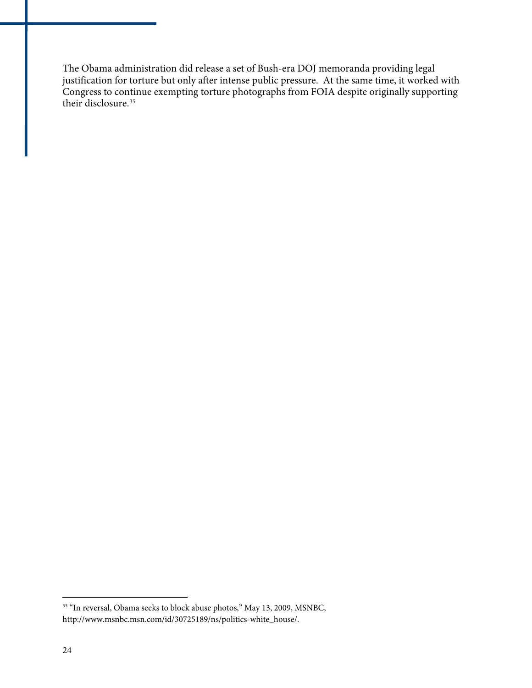The Obama administration did release a set of Bush-era DOJ memoranda providing legal justification for torture but only after intense public pressure. At the same time, it worked with Congress to continue exempting torture photographs from FOIA despite originally supporting their disclosure.<sup>[35](#page-25-0)</sup>

<span id="page-25-0"></span><sup>&</sup>lt;sup>35</sup> "In reversal, Obama seeks to block abuse photos," May 13, 2009, MSNBC, http://www.msnbc.msn.com/id/30725189/ns/politics-white\_house/.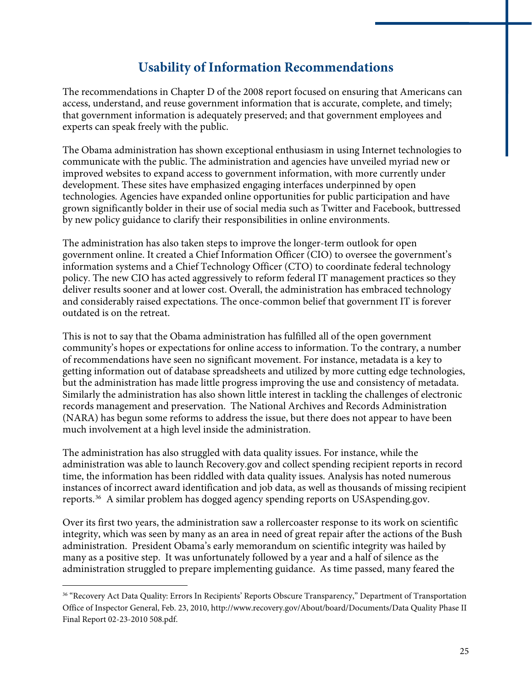## **Usability of Information Recommendations**

The recommendations in Chapter D of the 2008 report focused on ensuring that Americans can access, understand, and reuse government information that is accurate, complete, and timely; that government information is adequately preserved; and that government employees and experts can speak freely with the public.

The Obama administration has shown exceptional enthusiasm in using Internet technologies to communicate with the public. The administration and agencies have unveiled myriad new or improved websites to expand access to government information, with more currently under development. These sites have emphasized engaging interfaces underpinned by open technologies. Agencies have expanded online opportunities for public participation and have grown significantly bolder in their use of social media such as Twitter and Facebook, buttressed by new policy guidance to clarify their responsibilities in online environments.

The administration has also taken steps to improve the longer-term outlook for open government online. It created a Chief Information Officer (CIO) to oversee the government's information systems and a Chief Technology Officer (CTO) to coordinate federal technology policy. The new CIO has acted aggressively to reform federal IT management practices so they deliver results sooner and at lower cost. Overall, the administration has embraced technology and considerably raised expectations. The once-common belief that government IT is forever outdated is on the retreat.

This is not to say that the Obama administration has fulfilled all of the open government community's hopes or expectations for online access to information. To the contrary, a number of recommendations have seen no significant movement. For instance, metadata is a key to getting information out of database spreadsheets and utilized by more cutting edge technologies, but the administration has made little progress improving the use and consistency of metadata. Similarly the administration has also shown little interest in tackling the challenges of electronic records management and preservation. The National Archives and Records Administration (NARA) has begun some reforms to address the issue, but there does not appear to have been much involvement at a high level inside the administration.

The administration has also struggled with data quality issues. For instance, while the administration was able to launch Recovery.gov and collect spending recipient reports in record time, the information has been riddled with data quality issues. Analysis has noted numerous instances of incorrect award identification and job data, as well as thousands of missing recipient reports.[36](#page-26-0) A similar problem has dogged agency spending reports on USAspending.gov.

Over its first two years, the administration saw a rollercoaster response to its work on scientific integrity, which was seen by many as an area in need of great repair after the actions of the Bush administration. President Obama's early memorandum on scientific integrity was hailed by many as a positive step. It was unfortunately followed by a year and a half of silence as the administration struggled to prepare implementing guidance. As time passed, many feared the

<span id="page-26-0"></span><sup>&</sup>lt;sup>36</sup> "Recovery Act Data Quality: Errors In Recipients' Reports Obscure Transparency," Department of Transportation Office of Inspector General, Feb. 23, 2010, http://www.recovery.gov/About/board/Documents/Data Quality Phase II Final Report 02-23-2010 508.pdf.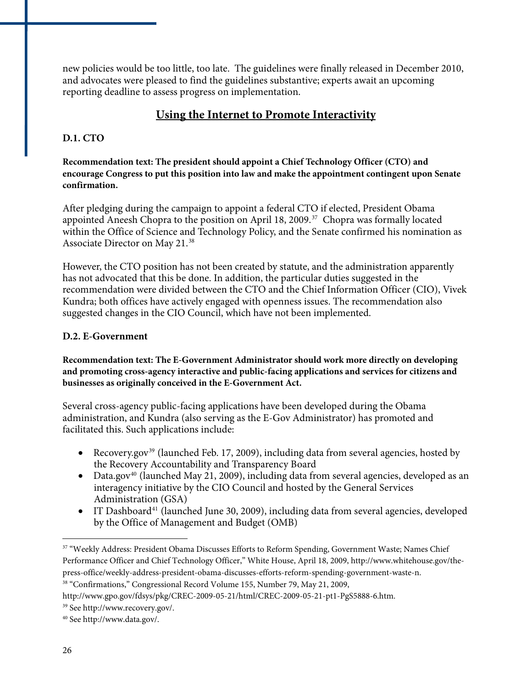new policies would be too little, too late. The guidelines were finally released in December 2010, and advocates were pleased to find the guidelines substantive; experts await an upcoming reporting deadline to assess progress on implementation.

#### **Using the Internet to Promote Interactivity**

#### **D.1. CTO**

**Recommendation text: The president should appoint a Chief Technology Officer (CTO) and encourage Congress to put this position into law and make the appointment contingent upon Senate confirmation.** 

After pledging during the campaign to appoint a federal CTO if elected, President Obama appointed Aneesh Chopra to the position on April 18, 2009.<sup>[37](#page-27-0)</sup> Chopra was formally located within the Office of Science and Technology Policy, and the Senate confirmed his nomination as Associate Director on May 21.[38](#page-27-1)

However, the CTO position has not been created by statute, and the administration apparently has not advocated that this be done. In addition, the particular duties suggested in the recommendation were divided between the CTO and the Chief Information Officer (CIO), Vivek Kundra; both offices have actively engaged with openness issues. The recommendation also suggested changes in the CIO Council, which have not been implemented.

#### **D.2. E-Government**

**Recommendation text: The E-Government Administrator should work more directly on developing and promoting cross-agency interactive and public-facing applications and services for citizens and businesses as originally conceived in the E-Government Act.** 

Several cross-agency public-facing applications have been developed during the Obama administration, and Kundra (also serving as the E-Gov Administrator) has promoted and facilitated this. Such applications include:

- Recovery.gov<sup>[39](#page-27-2)</sup> (launched Feb. 17, 2009), including data from several agencies, hosted by the Recovery Accountability and Transparency Board
- Data.gov<sup>[40](#page-27-3)</sup> (launched May 21, 2009), including data from several agencies, developed as an interagency initiative by the CIO Council and hosted by the General Services Administration (GSA)
- IT Dashboard<sup>[41](#page-27-4)</sup> (launched June 30, 2009), including data from several agencies, developed by the Office of Management and Budget (OMB)

<span id="page-27-4"></span><span id="page-27-0"></span><sup>37 &</sup>quot;Weekly Address: President Obama Discusses Efforts to Reform Spending, Government Waste; Names Chief Performance Officer and Chief Technology Officer," White House, April 18, 2009, http://www.whitehouse.gov/thepress-office/weekly-address-president-obama-discusses-efforts-reform-spending-government-waste-n.

<span id="page-27-1"></span><sup>38 &</sup>quot;Confirmations," Congressional Record Volume 155, Number 79, May 21, 2009,

http://www.gpo.gov/fdsys/pkg/CREC-2009-05-21/html/CREC-2009-05-21-pt1-PgS5888-6.htm.

<span id="page-27-2"></span><sup>39</sup> See http://www.recovery.gov/.

<span id="page-27-3"></span><sup>40</sup> See http://www.data.gov/.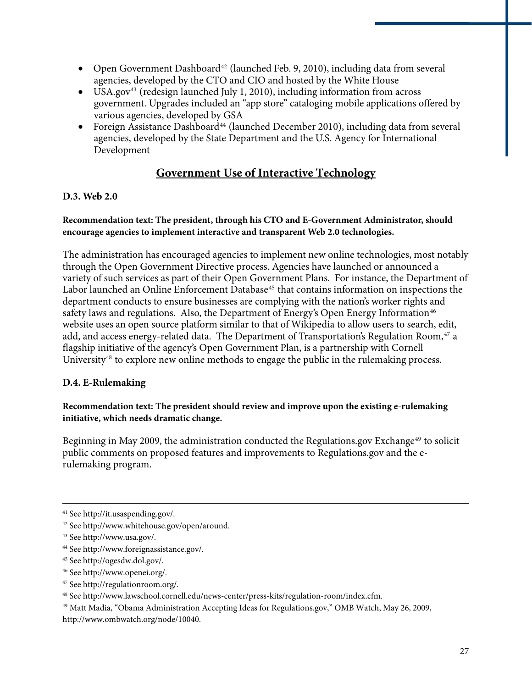- Open Government Dashboard<sup>[42](#page-28-0)</sup> (launched Feb. 9, 2010), including data from several agencies, developed by the CTO and CIO and hosted by the White House
- USA.gov<sup>[43](#page-28-1)</sup> (redesign launched July 1, 2010), including information from across government. Upgrades included an "app store" cataloging mobile applications offered by various agencies, developed by GSA
- Foreign Assistance Dashboard<sup>[44](#page-28-2)</sup> (launched December 2010), including data from several agencies, developed by the State Department and the U.S. Agency for International Development

#### **Government Use of Interactive Technology**

#### **D.3. Web 2.0**

#### **Recommendation text: The president, through his CTO and E-Government Administrator, should encourage agencies to implement interactive and transparent Web 2.0 technologies.**

The administration has encouraged agencies to implement new online technologies, most notably through the Open Government Directive process. Agencies have launched or announced a variety of such services as part of their Open Government Plans. For instance, the Department of Labor launched an Online Enforcement Database<sup>[45](#page-28-3)</sup> that contains information on inspections the department conducts to ensure businesses are complying with the nation's worker rights and safety laws and regulations. Also, the Department of Energy's Open Energy Information<sup>[46](#page-28-4)</sup> website uses an open source platform similar to that of Wikipedia to allow users to search, edit, add, and access energy-related data. The Department of Transportation's Regulation Room,<sup>[47](#page-28-5)</sup> a flagship initiative of the agency's Open Government Plan, is a partnership with Cornell University<sup>[48](#page-28-6)</sup> to explore new online methods to engage the public in the rulemaking process.

#### **D.4. E-Rulemaking**

#### **Recommendation text: The president should review and improve upon the existing e-rulemaking initiative, which needs dramatic change.**

Beginning in May 2009, the administration conducted the Regulations.gov Exchange<sup>[49](#page-28-7)</sup> to solicit public comments on proposed features and improvements to Regulations.gov and the erulemaking program.

<u>.</u>

<span id="page-28-5"></span>47 See http://regulationroom.org/.

<sup>41</sup> See http://it.usaspending.gov/.

<span id="page-28-0"></span><sup>42</sup> See http://www.whitehouse.gov/open/around.

<span id="page-28-1"></span><sup>43</sup> See http://www.usa.gov/.

<span id="page-28-2"></span><sup>44</sup> See http://www.foreignassistance.gov/.

<span id="page-28-3"></span><sup>45</sup> See http://ogesdw.dol.gov/.

<span id="page-28-4"></span><sup>46</sup> See http://www.openei.org/.

<span id="page-28-6"></span><sup>48</sup> See http://www.lawschool.cornell.edu/news-center/press-kits/regulation-room/index.cfm.

<span id="page-28-7"></span><sup>49</sup> Matt Madia, "Obama Administration Accepting Ideas for Regulations.gov," OMB Watch, May 26, 2009, http://www.ombwatch.org/node/10040.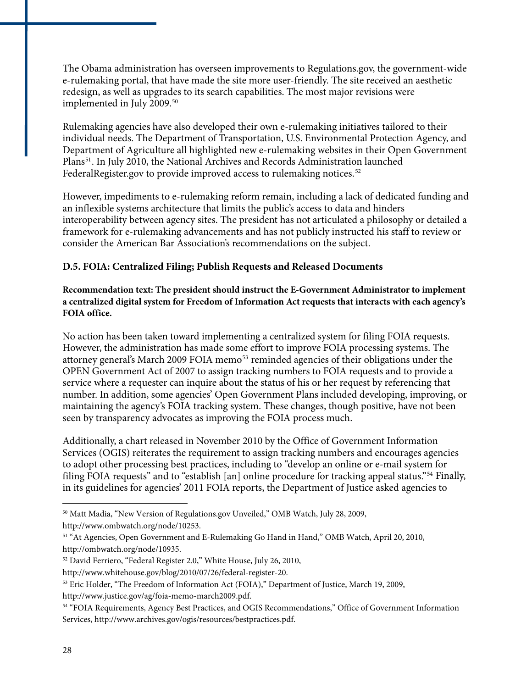The Obama administration has overseen improvements to Regulations.gov, the government-wide e-rulemaking portal, that have made the site more user-friendly. The site received an aesthetic redesign, as well as upgrades to its search capabilities. The most major revisions were implemented in July 2009.[50](#page-29-0)

Rulemaking agencies have also developed their own e-rulemaking initiatives tailored to their individual needs. The Department of Transportation, U.S. Environmental Protection Agency, and Department of Agriculture all highlighted new e-rulemaking websites in their Open Government Plans<sup>[51](#page-29-1)</sup>. In July 2010, the National Archives and Records Administration launched FederalRegister.gov to provide improved access to rulemaking notices.<sup>[52](#page-29-2)</sup>

However, impediments to e-rulemaking reform remain, including a lack of dedicated funding and an inflexible systems architecture that limits the public's access to data and hinders interoperability between agency sites. The president has not articulated a philosophy or detailed a framework for e-rulemaking advancements and has not publicly instructed his staff to review or consider the American Bar Association's recommendations on the subject.

#### **D.5. FOIA: Centralized Filing; Publish Requests and Released Documents**

#### **Recommendation text: The president should instruct the E-Government Administrator to implement a centralized digital system for Freedom of Information Act requests that interacts with each agency's FOIA office.**

No action has been taken toward implementing a centralized system for filing FOIA requests. However, the administration has made some effort to improve FOIA processing systems. The attorney general's March 2009 FOIA memo<sup>[53](#page-29-3)</sup> reminded agencies of their obligations under the OPEN Government Act of 2007 to assign tracking numbers to FOIA requests and to provide a service where a requester can inquire about the status of his or her request by referencing that number. In addition, some agencies' Open Government Plans included developing, improving, or maintaining the agency's FOIA tracking system. These changes, though positive, have not been seen by transparency advocates as improving the FOIA process much.

Additionally, a chart released in November 2010 by the Office of Government Information Services (OGIS) reiterates the requirement to assign tracking numbers and encourages agencies to adopt other processing best practices, including to "develop an online or e-mail system for filing FOIA requests" and to "establish [an] online procedure for tracking appeal status."[54](#page-29-4) Finally, in its guidelines for agencies' 2011 FOIA reports, the Department of Justice asked agencies to

<span id="page-29-0"></span><sup>50</sup> Matt Madia, "New Version of Regulations.gov Unveiled," OMB Watch, July 28, 2009, http://www.ombwatch.org/node/10253.

<span id="page-29-1"></span><sup>&</sup>lt;sup>51</sup> "At Agencies, Open Government and E-Rulemaking Go Hand in Hand," OMB Watch, April 20, 2010, http://ombwatch.org/node/10935.

<span id="page-29-2"></span><sup>52</sup> David Ferriero, "Federal Register 2.0," White House, July 26, 2010,

http://www.whitehouse.gov/blog/2010/07/26/federal-register-20.

<span id="page-29-3"></span><sup>53</sup> Eric Holder, "The Freedom of Information Act (FOIA)," Department of Justice, March 19, 2009, http://www.justice.gov/ag/foia-memo-march2009.pdf.

<span id="page-29-4"></span><sup>54 &</sup>quot;FOIA Requirements, Agency Best Practices, and OGIS Recommendations," Office of Government Information Services, http://www.archives.gov/ogis/resources/bestpractices.pdf.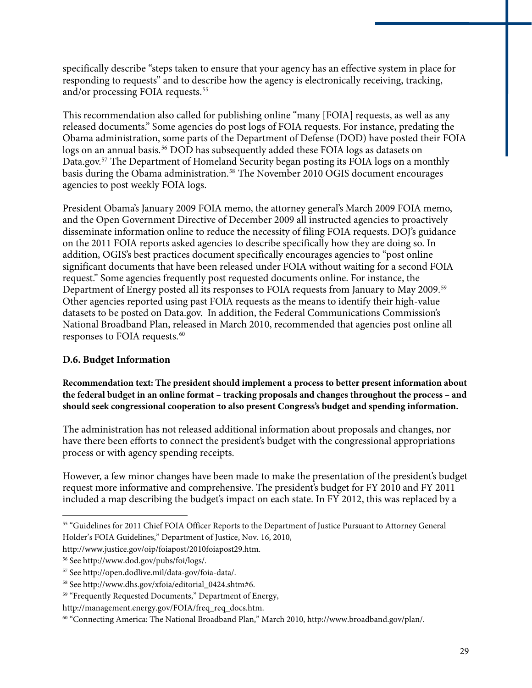specifically describe "steps taken to ensure that your agency has an effective system in place for responding to requests" and to describe how the agency is electronically receiving, tracking, and/or processing FOIA requests.<sup>[55](#page-30-0)</sup>

agencies to post weekly FOIA logs. This recommendation also called for publishing online "many [FOIA] requests, as well as any released documents." Some agencies do post logs of FOIA requests. For instance, predating the Obama administration, some parts of the Department of Defense (DOD) have posted their FOIA logs on an annual basis.<sup>[56](#page-30-1)</sup> DOD has subsequently added these FOIA logs as datasets on Data.gov.<sup>[57](#page-30-2)</sup> The Department of Homeland Security began posting its FOIA logs on a monthly basis during the Obama administration.<sup>[58](#page-30-3)</sup> The November 2010 OGIS document encourages

President Obama's January 2009 FOIA memo, the attorney general's March 2009 FOIA memo, and the Open Government Directive of December 2009 all instructed agencies to proactively disseminate information online to reduce the necessity of filing FOIA requests. DOJ's guidance on the 2011 FOIA reports asked agencies to describe specifically how they are doing so. In addition, OGIS's best practices document specifically encourages agencies to "post online significant documents that have been released under FOIA without waiting for a second FOIA request." Some agencies frequently post requested documents online. For instance, the Department of Energy posted all its responses to FOIA requests from January to May 2009.<sup>[59](#page-30-4)</sup> Other agencies reported using past FOIA requests as the means to identify their high-value datasets to be posted on Data.gov. In addition, the Federal Communications Commission's National Broadband Plan, released in March 2010, recommended that agencies post online all responses to FOIA requests.<sup>[60](#page-30-5)</sup>

#### **D.6. Budget Information**

**Recommendation text: The president should implement a process to better present information about the federal budget in an online format – tracking proposals and changes throughout the process – and should seek congressional cooperation to also present Congress's budget and spending information.**

The administration has not released additional information about proposals and changes, nor have there been efforts to connect the president's budget with the congressional appropriations process or with agency spending receipts.

However, a few minor changes have been made to make the presentation of the president's budget request more informative and comprehensive. The president's budget for FY 2010 and FY 2011 included a map describing the budget's impact on each state. In FY 2012, this was replaced by a

<span id="page-30-0"></span><sup>55 &</sup>quot;Guidelines for 2011 Chief FOIA Officer Reports to the Department of Justice Pursuant to Attorney General Holder's FOIA Guidelines," Department of Justice, Nov. 16, 2010,

http://www.justice.gov/oip/foiapost/2010foiapost29.htm.

<span id="page-30-1"></span><sup>56</sup> See http://www.dod.gov/pubs/foi/logs/.

<span id="page-30-2"></span><sup>57</sup> See http://open.dodlive.mil/data-gov/foia-data/.

<span id="page-30-3"></span><sup>58</sup> See http://www.dhs.gov/xfoia/editorial\_0424.shtm#6.

<span id="page-30-4"></span><sup>59 &</sup>quot;Frequently Requested Documents," Department of Energy,

http://management.energy.gov/FOIA/freq\_req\_docs.htm.

<span id="page-30-5"></span><sup>60 &</sup>quot;Connecting America: The National Broadband Plan," March 2010, http://www.broadband.gov/plan/.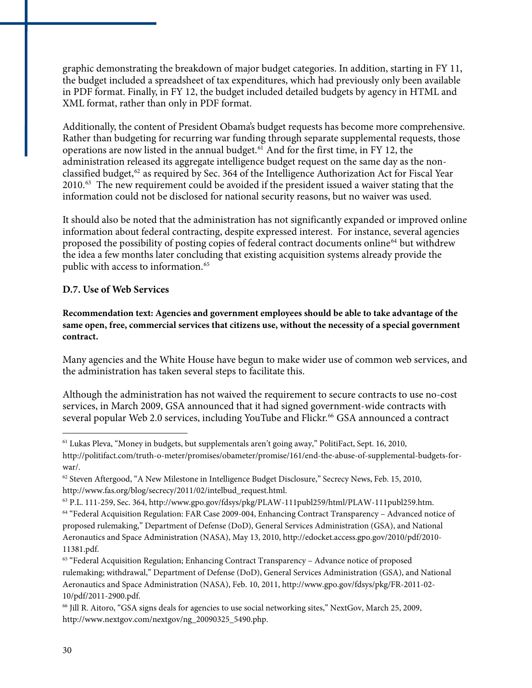graphic demonstrating the breakdown of major budget categories. In addition, starting in FY 11, the budget included a spreadsheet of tax expenditures, which had previously only been available in PDF format. Finally, in FY 12, the budget included detailed budgets by agency in HTML and XML format, rather than only in PDF format.

Additionally, the content of President Obama's budget requests has become more comprehensive. Rather than budgeting for recurring war funding through separate supplemental requests, those operations are now listed in the annual budget.<sup>[61](#page-31-0)</sup> And for the first time, in FY 12, the administration released its aggregate intelligence budget request on the same day as the non-classified budget,<sup>[62](#page-31-1)</sup> as required by Sec. 364 of the Intelligence Authorization Act for Fiscal Year 2010.[63](#page-31-2) The new requirement could be avoided if the president issued a waiver stating that the information could not be disclosed for national security reasons, but no waiver was used.

It should also be noted that the administration has not significantly expanded or improved online information about federal contracting, despite expressed interest. For instance, several agencies proposed the possibility of posting copies of federal contract documents online<sup>[64](#page-31-3)</sup> but withdrew the idea a few months later concluding that existing acquisition systems already provide the public with access to information.<sup>[65](#page-31-4)</sup>

#### **D.7. Use of Web Services**

**Recommendation text: Agencies and government employees should be able to take advantage of the same open, free, commercial services that citizens use, without the necessity of a special government contract.** 

Many agencies and the White House have begun to make wider use of common web services, and the administration has taken several steps to facilitate this.

Although the administration has not waived the requirement to secure contracts to use no-cost services, in March 2009, GSA announced that it had signed government-wide contracts with several popular Web 2.0 services, including YouTube and Flickr.<sup>[66](#page-31-5)</sup> GSA announced a contract

<span id="page-31-0"></span> $61$  Lukas Pleva, "Money in budgets, but supplementals aren't going away," PolitiFact, Sept. 16, 2010, http://politifact.com/truth-o-meter/promises/obameter/promise/161/end-the-abuse-of-supplemental-budgets-forwar/.

<span id="page-31-1"></span> $62$  Steven Aftergood, "A New Milestone in Intelligence Budget Disclosure," Secrecy News, Feb. 15, 2010, http://www.fas.org/blog/secrecy/2011/02/intelbud\_request.html.

<span id="page-31-3"></span><span id="page-31-2"></span><sup>63</sup> P.L. 111-259, Sec. 364, http://www.gpo.gov/fdsys/pkg/PLAW-111publ259/html/PLAW-111publ259.htm. 64 "Federal Acquisition Regulation: FAR Case 2009-004, Enhancing Contract Transparency – Advanced notice of proposed rulemaking," Department of Defense (DoD), General Services Administration (GSA), and National Aeronautics and Space Administration (NASA), May 13, 2010, http://edocket.access.gpo.gov/2010/pdf/2010- 11381.pdf.

<span id="page-31-4"></span><sup>65 &</sup>quot;Federal Acquisition Regulation; Enhancing Contract Transparency – Advance notice of proposed rulemaking; withdrawal," Department of Defense (DoD), General Services Administration (GSA), and National Aeronautics and Space Administration (NASA), Feb. 10, 2011, http://www.gpo.gov/fdsys/pkg/FR-2011-02- 10/pdf/2011-2900.pdf.

<span id="page-31-5"></span><sup>66</sup> Jill R. Aitoro, "GSA signs deals for agencies to use social networking sites," NextGov, March 25, 2009, http://www.nextgov.com/nextgov/ng\_20090325\_5490.php.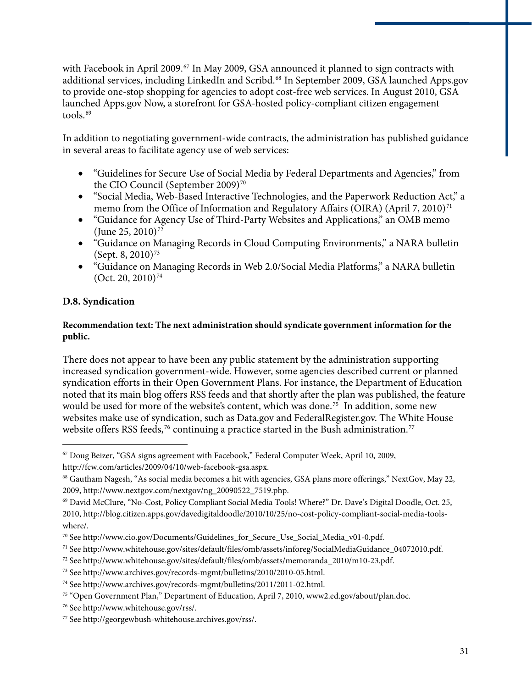with Facebook in April 2009.<sup>[67](#page-32-0)</sup> In May 2009, GSA announced it planned to sign contracts with additional services, including LinkedIn and Scribd.[68](#page-32-1) In September 2009, GSA launched Apps.gov to provide one-stop shopping for agencies to adopt cost-free web services. In August 2010, GSA launched Apps.gov Now, a storefront for GSA-hosted policy-compliant citizen engagement tools.<sup>[69](#page-32-2)</sup>

In addition to negotiating government-wide contracts, the administration has published guidance in several areas to facilitate agency use of web services:

- "Guidelines for Secure Use of Social Media by Federal Departments and Agencies," from the CIO Council (September 2009)<sup>70</sup>
- "Social Media, Web-Based Interactive Technologies, and the Paperwork Reduction Act," a memo from the Office of Information and Regulatory Affairs (OIRA) (April 7, 2010)<sup>[71](#page-32-4)</sup>
- "Guidance for Agency Use of Third-Party Websites and Applications," an OMB memo (June 25, 2010)<sup>[72](#page-32-5)</sup>
- "Guidance on Managing Records in Cloud Computing Environments," a NARA bulletin (Sept. 8, 2010)<sup>[73](#page-32-6)</sup>
- "Guidance on Managing Records in Web 2.0/Social Media Platforms," a NARA bulletin  $(Oct. 20, 2010)^{74}$  $(Oct. 20, 2010)^{74}$  $(Oct. 20, 2010)^{74}$

#### **D.8. Syndication**

 $\overline{a}$ 

#### **Recommendation text: The next administration should syndicate government information for the public.**

There does not appear to have been any public statement by the administration supporting increased syndication government-wide. However, some agencies described current or planned syndication efforts in their Open Government Plans. For instance, the Department of Education noted that its main blog offers RSS feeds and that shortly after the plan was published, the feature would be used for more of the website's content, which was done.<sup>[75](#page-32-8)</sup> In addition, some new websites make use of syndication, such as Data.gov and FederalRegister.gov. The White House website offers RSS feeds,<sup>[76](#page-32-9)</sup> continuing a practice started in the Bush administration.<sup>[77](#page-32-10)</sup>

<span id="page-32-0"></span><sup>67</sup> Doug Beizer, "GSA signs agreement with Facebook," Federal Computer Week, April 10, 2009, http://fcw.com/articles/2009/04/10/web-facebook-gsa.aspx.

<span id="page-32-1"></span><sup>68</sup> Gautham Nagesh, "As social media becomes a hit with agencies, GSA plans more offerings," NextGov, May 22, 2009, http://www.nextgov.com/nextgov/ng\_20090522\_7519.php.

<span id="page-32-2"></span><sup>69</sup> David McClure, "No-Cost, Policy Compliant Social Media Tools! Where?" Dr. Dave's Digital Doodle, Oct. 25, 2010, http://blog.citizen.apps.gov/davedigitaldoodle/2010/10/25/no-cost-policy-compliant-social-media-toolswhere/.

<span id="page-32-3"></span><sup>70</sup> See http://www.cio.gov/Documents/Guidelines\_for\_Secure\_Use\_Social\_Media\_v01-0.pdf.

<span id="page-32-4"></span><sup>71</sup> See http://www.whitehouse.gov/sites/default/files/omb/assets/inforeg/SocialMediaGuidance\_04072010.pdf.

<span id="page-32-5"></span><sup>72</sup> See http://www.whitehouse.gov/sites/default/files/omb/assets/memoranda\_2010/m10-23.pdf.

<span id="page-32-6"></span><sup>73</sup> See http://www.archives.gov/records-mgmt/bulletins/2010/2010-05.html.

<span id="page-32-7"></span><sup>74</sup> See http://www.archives.gov/records-mgmt/bulletins/2011/2011-02.html.

<span id="page-32-8"></span><sup>75 &</sup>quot;Open Government Plan," Department of Education, April 7, 2010, www2.ed.gov/about/plan.doc.

<span id="page-32-9"></span><sup>76</sup> See http://www.whitehouse.gov/rss/.

<span id="page-32-10"></span><sup>77</sup> See http://georgewbush-whitehouse.archives.gov/rss/.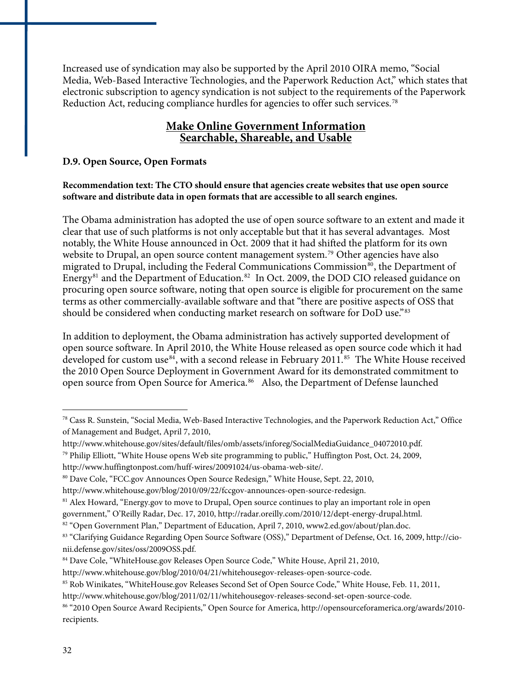Increased use of syndication may also be supported by the April 2010 OIRA memo, "Social Media, Web-Based Interactive Technologies, and the Paperwork Reduction Act," which states that electronic subscription to agency syndication is not subject to the requirements of the Paperwork Reduction Act, reducing compliance hurdles for agencies to offer such services.[78](#page-33-0)

#### **Make Online Government Information Searchable, Shareable, and Usable**

#### **D.9. Open Source, Open Formats**

#### **Recommendation text: The CTO should ensure that agencies create websites that use open source software and distribute data in open formats that are accessible to all search engines.**

The Obama administration has adopted the use of open source software to an extent and made it clear that use of such platforms is not only acceptable but that it has several advantages. Most notably, the White House announced in Oct. 2009 that it had shifted the platform for its own website to Drupal, an open source content management system.<sup>[79](#page-33-1)</sup> Other agencies have also migrated to Drupal, including the Federal Communications Commission<sup>[80](#page-33-2)</sup>, the Department of Energy<sup>[81](#page-33-3)</sup> and the Department of Education.<sup>[82](#page-33-4)</sup> In Oct. 2009, the DOD CIO released guidance on procuring open source software, noting that open source is eligible for procurement on the same terms as other commercially-available software and that "there are positive aspects of OSS that should be considered when conducting market research on software for DoD use.<sup>"[83](#page-33-5)</sup>

In addition to deployment, the Obama administration has actively supported development of open source software. In April 2010, the White House released as open source code which it had developed for custom use<sup>[84](#page-33-6)</sup>, with a second release in February 2011.<sup>[85](#page-33-7)</sup> The White House received the 2010 Open Source Deployment in Government Award for its demonstrated commitment to open source from Open Source for America.<sup>[86](#page-33-8)</sup> Also, the Department of Defense launched

<span id="page-33-0"></span><sup>78</sup> Cass R. Sunstein, "Social Media, Web-Based Interactive Technologies, and the Paperwork Reduction Act," Office of Management and Budget, April 7, 2010,

<span id="page-33-1"></span>http://www.whitehouse.gov/sites/default/files/omb/assets/inforeg/SocialMediaGuidance\_04072010.pdf.  $79$  Philip Elliott, "White House opens Web site programming to public," Huffington Post, Oct. 24, 2009,

http://www.huffingtonpost.com/huff-wires/20091024/us-obama-web-site/.

<span id="page-33-2"></span><sup>80</sup> Dave Cole, "FCC.gov Announces Open Source Redesign," White House, Sept. 22, 2010,

http://www.whitehouse.gov/blog/2010/09/22/fccgov-announces-open-source-redesign.

<sup>&</sup>lt;sup>81</sup> Alex Howard, "Energy.gov to move to Drupal, Open source continues to play an important role in open

<span id="page-33-4"></span><span id="page-33-3"></span>government," O'Reilly Radar, Dec. 17, 2010, http://radar.oreilly.com/2010/12/dept-energy-drupal.html.

<sup>&</sup>lt;sup>82</sup> "Open Government Plan," Department of Education, April 7, 2010, www2.ed.gov/about/plan.doc.

<span id="page-33-5"></span><sup>83 &</sup>quot;Clarifying Guidance Regarding Open Source Software (OSS)," Department of Defense, Oct. 16, 2009, http://cionii.defense.gov/sites/oss/2009OSS.pdf.

<span id="page-33-6"></span><sup>84</sup> Dave Cole, "WhiteHouse.gov Releases Open Source Code," White House, April 21, 2010,

http://www.whitehouse.gov/blog/2010/04/21/whitehousegov-releases-open-source-code.

<span id="page-33-7"></span><sup>85</sup> Rob Winikates, "WhiteHouse.gov Releases Second Set of Open Source Code," White House, Feb. 11, 2011,

http://www.whitehouse.gov/blog/2011/02/11/whitehousegov-releases-second-set-open-source-code.

<span id="page-33-8"></span><sup>86 &</sup>quot;2010 Open Source Award Recipients," Open Source for America, http://opensourceforamerica.org/awards/2010 recipients.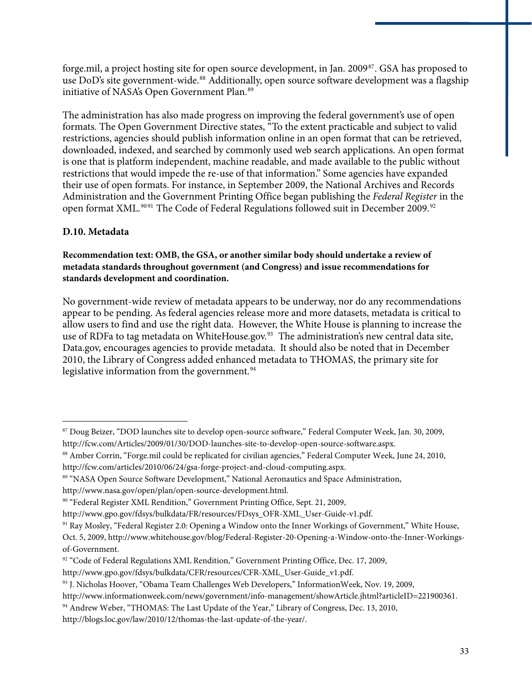forge.mil, a project hosting site for open source development, in Jan. 2009[87](#page-34-0). GSA has proposed to use DoD's site government-wide.<sup>[88](#page-34-1)</sup> Additionally, open source software development was a flagship initiative of NASA's Open Government Plan.<sup>[89](#page-34-2)</sup>

The administration has also made progress on improving the federal government's use of open formats. The Open Government Directive states, "To the extent practicable and subject to valid restrictions, agencies should publish information online in an open format that can be retrieved, downloaded, indexed, and searched by commonly used web search applications. An open format is one that is platform independent, machine readable, and made available to the public without restrictions that would impede the re-use of that information." Some agencies have expanded their use of open formats. For instance, in September 2009, the National Archives and Records Administration and the Government Printing Office began publishing the *Federal Register* in the open format XML.<sup>90[91](#page-34-3)</sup> The Code of Federal Regulations followed suit in December 2009.<sup>[92](#page-34-4)</sup>

#### **D.10. Metadata**

 $\overline{a}$ 

#### **Recommendation text: OMB, the GSA, or another similar body should undertake a review of metadata standards throughout government (and Congress) and issue recommendations for standards development and coordination.**

No government-wide review of metadata appears to be underway, nor do any recommendations appear to be pending. As federal agencies release more and more datasets, metadata is critical to allow users to find and use the right data. However, the White House is planning to increase the use of RDFa to tag metadata on WhiteHouse.gov.<sup>[93](#page-34-5)</sup> The administration's new central data site, Data.gov, encourages agencies to provide metadata. It should also be noted that in December 2010, the Library of Congress added enhanced metadata to THOMAS, the primary site for legislative information from the government.<sup>[94](#page-34-6)</sup>

<span id="page-34-0"></span><sup>87</sup> Doug Beizer, "DOD launches site to develop open-source software," Federal Computer Week, Jan. 30, 2009, http://fcw.com/Articles/2009/01/30/DOD-launches-site-to-develop-open-source-software.aspx.

<span id="page-34-1"></span><sup>88</sup> Amber Corrin, "Forge.mil could be replicated for civilian agencies," Federal Computer Week, June 24, 2010, http://fcw.com/articles/2010/06/24/gsa-forge-project-and-cloud-computing.aspx.

<span id="page-34-2"></span><sup>89 &</sup>quot;NASA Open Source Software Development," National Aeronautics and Space Administration,

http://www.nasa.gov/open/plan/open-source-development.html.

<span id="page-34-3"></span><sup>90 &</sup>quot;Federal Register XML Rendition," Government Printing Office, Sept. 21, 2009,

http://www.gpo.gov/fdsys/bulkdata/FR/resources/FDsys\_OFR-XML\_User-Guide-v1.pdf.

<span id="page-34-4"></span><sup>91</sup> Ray Mosley, "Federal Register 2.0: Opening a Window onto the Inner Workings of Government," White House,

Oct. 5, 2009, http://www.whitehouse.gov/blog/Federal-Register-20-Opening-a-Window-onto-the-Inner-Workingsof-Government.

<sup>92 &</sup>quot;Code of Federal Regulations XML Rendition," Government Printing Office, Dec. 17, 2009,

http://www.gpo.gov/fdsys/bulkdata/CFR/resources/CFR-XML\_User-Guide\_v1.pdf.

<span id="page-34-5"></span><sup>93</sup> J. Nicholas Hoover, "Obama Team Challenges Web Developers," InformationWeek, Nov. 19, 2009,

http://www.informationweek.com/news/government/info-management/showArticle.jhtml?articleID=221900361.

<span id="page-34-6"></span><sup>94</sup> Andrew Weber, "THOMAS: The Last Update of the Year," Library of Congress, Dec. 13, 2010,

http://blogs.loc.gov/law/2010/12/thomas-the-last-update-of-the-year/.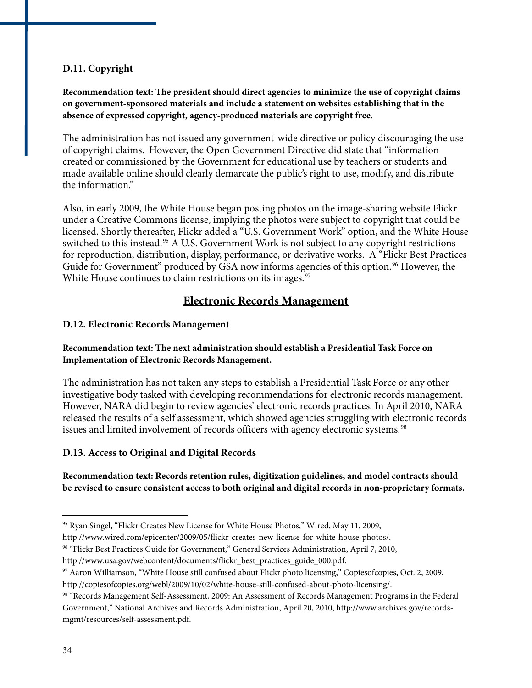#### **D.11. Copyright**

**Recommendation text: The president should direct agencies to minimize the use of copyright claims on government-sponsored materials and include a statement on websites establishing that in the absence of expressed copyright, agency-produced materials are copyright free.** 

The administration has not issued any government-wide directive or policy discouraging the use of copyright claims. However, the Open Government Directive did state that "information created or commissioned by the Government for educational use by teachers or students and made available online should clearly demarcate the public's right to use, modify, and distribute the information."

for reproduction, distribution, display, performance, or derivative works. A "Flickr Best Practices Also, in early 2009, the White House began posting photos on the image-sharing website Flickr under a Creative Commons license, implying the photos were subject to copyright that could be licensed. Shortly thereafter, Flickr added a "U.S. Government Work" option, and the White House switched to this instead.<sup>[95](#page-35-0)</sup> A U.S. Government Work is not subject to any copyright restrictions Guide for Government" produced by GSA now informs agencies of this option.<sup>[96](#page-35-1)</sup> However, the White House continues to claim restrictions on its images.<sup>[97](#page-35-2)</sup>

#### **Electronic Records Management**

#### **D.12. Electronic Records Management**

#### **Recommendation text: The next administration should establish a Presidential Task Force on Implementation of Electronic Records Management.**

The administration has not taken any steps to establish a Presidential Task Force or any other investigative body tasked with developing recommendations for electronic records management. However, NARA did begin to review agencies' electronic records practices. In April 2010, NARA released the results of a self assessment, which showed agencies struggling with electronic records issues and limited involvement of records officers with agency electronic systems.<sup>[98](#page-35-3)</sup>

#### **D.13. Access to Original and Digital Records**

#### **Recommendation text: Records retention rules, digitization guidelines, and model contracts should be revised to ensure consistent access to both original and digital records in non-proprietary formats.**

<span id="page-35-0"></span><sup>&</sup>lt;sup>95</sup> Ryan Singel, "Flickr Creates New License for White House Photos," Wired, May 11, 2009,

http://www.wired.com/epicenter/2009/05/flickr-creates-new-license-for-white-house-photos/.

<span id="page-35-1"></span><sup>96 &</sup>quot;Flickr Best Practices Guide for Government," General Services Administration, April 7, 2010,

http://www.usa.gov/webcontent/documents/flickr\_best\_practices\_guide\_000.pdf.

<span id="page-35-2"></span><sup>97</sup> Aaron Williamson, "White House still confused about Flickr photo licensing," Copiesofcopies, Oct. 2, 2009,

http://copiesofcopies.org/webl/2009/10/02/white-house-still-confused-about-photo-licensing/.

<span id="page-35-3"></span><sup>98 &</sup>quot;Records Management Self-Assessment, 2009: An Assessment of Records Management Programs in the Federal Government," National Archives and Records Administration, April 20, 2010, http://www.archives.gov/recordsmgmt/resources/self-assessment.pdf.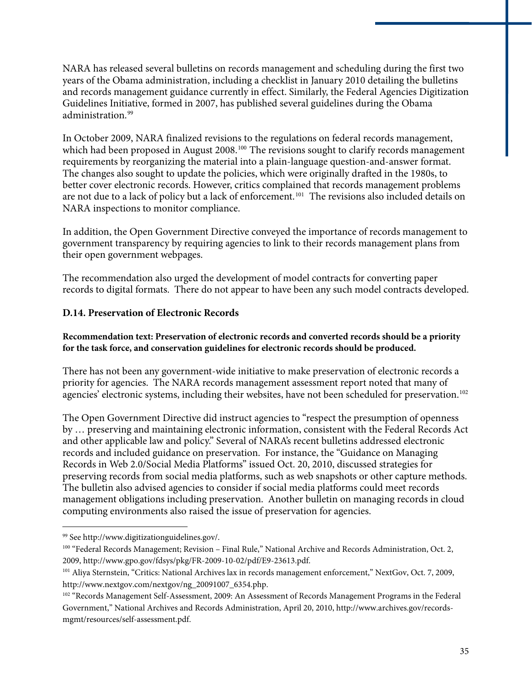NARA has released several bulletins on records management and scheduling during the first two years of the Obama administration, including a checklist in January 2010 detailing the bulletins and records management guidance currently in effect. Similarly, the Federal Agencies Digitization Guidelines Initiative, formed in 2007, has published several guidelines during the Obama administration.<sup>[99](#page-36-0)</sup>

In October 2009, NARA finalized revisions to the regulations on federal records management, which had been proposed in August 2008.<sup>[100](#page-36-1)</sup> The revisions sought to clarify records management requirements by reorganizing the material into a plain-language question-and-answer format. The changes also sought to update the policies, which were originally drafted in the 1980s, to better cover electronic records. However, critics complained that records management problems are not due to a lack of policy but a lack of enforcement.<sup>[101](#page-36-2)</sup> The revisions also included details on NARA inspections to monitor compliance.

In addition, the Open Government Directive conveyed the importance of records management to government transparency by requiring agencies to link to their records management plans from their open government webpages.

The recommendation also urged the development of model contracts for converting paper records to digital formats. There do not appear to have been any such model contracts developed.

#### **D.14. Preservation of Electronic Records**

#### **Recommendation text: Preservation of electronic records and converted records should be a priority for the task force, and conservation guidelines for electronic records should be produced.**

There has not been any government-wide initiative to make preservation of electronic records a priority for agencies. The NARA records management assessment report noted that many of agencies' electronic systems, including their websites, have not been scheduled for preservation.<sup>[102](#page-36-3)</sup>

The Open Government Directive did instruct agencies to "respect the presumption of openness by … preserving and maintaining electronic information, consistent with the Federal Records Act and other applicable law and policy." Several of NARA's recent bulletins addressed electronic records and included guidance on preservation. For instance, the "Guidance on Managing Records in Web 2.0/Social Media Platforms" issued Oct. 20, 2010, discussed strategies for preserving records from social media platforms, such as web snapshots or other capture methods. The bulletin also advised agencies to consider if social media platforms could meet records management obligations including preservation. Another bulletin on managing records in cloud computing environments also raised the issue of preservation for agencies.

<span id="page-36-0"></span><sup>99</sup> See http://www.digitizationguidelines.gov/.

<span id="page-36-1"></span><sup>&</sup>lt;sup>100</sup> "Federal Records Management; Revision – Final Rule," National Archive and Records Administration, Oct. 2, 2009, http://www.gpo.gov/fdsys/pkg/FR-2009-10-02/pdf/E9-23613.pdf.

<span id="page-36-2"></span><sup>101</sup> Aliya Sternstein, "Critics: National Archives lax in records management enforcement," NextGov, Oct. 7, 2009, http://www.nextgov.com/nextgov/ng\_20091007\_6354.php.

<span id="page-36-3"></span><sup>&</sup>lt;sup>102</sup> "Records Management Self-Assessment, 2009: An Assessment of Records Management Programs in the Federal Government," National Archives and Records Administration, April 20, 2010, http://www.archives.gov/recordsmgmt/resources/self-assessment.pdf.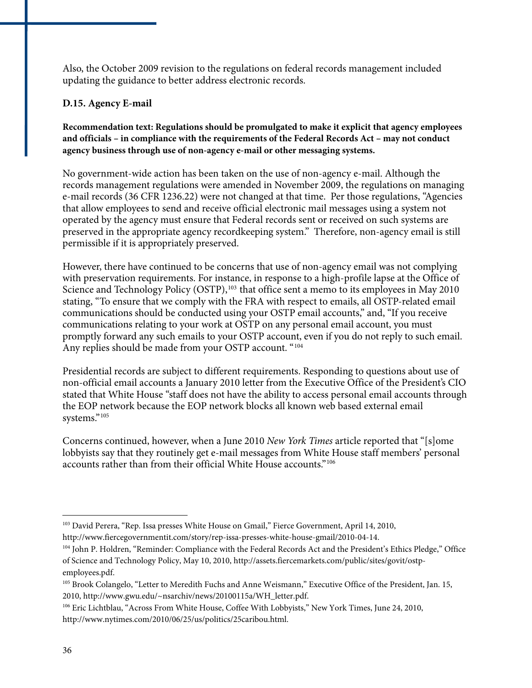Also, the October 2009 revision to the regulations on federal records management included updating the guidance to better address electronic records.

#### **D.15. Agency E-mail**

**Recommendation text: Regulations should be promulgated to make it explicit that agency employees and officials – in compliance with the requirements of the Federal Records Act – may not conduct agency business through use of non-agency e-mail or other messaging systems.** 

No government-wide action has been taken on the use of non-agency e-mail. Although the records management regulations were amended in November 2009, the regulations on managing e-mail records (36 CFR 1236.22) were not changed at that time. Per those regulations, "Agencies that allow employees to send and receive official electronic mail messages using a system not operated by the agency must ensure that Federal records sent or received on such systems are preserved in the appropriate agency recordkeeping system." Therefore, non-agency email is still permissible if it is appropriately preserved.

However, there have continued to be concerns that use of non-agency email was not complying with preservation requirements. For instance, in response to a high-profile lapse at the Office of Science and Technology Policy (OSTP),<sup>[103](#page-37-0)</sup> that office sent a memo to its employees in May 2010 stating, "To ensure that we comply with the FRA with respect to emails, all OSTP-related email communications should be conducted using your OSTP email accounts," and, "If you receive communications relating to your work at OSTP on any personal email account, you must promptly forward any such emails to your OSTP account, even if you do not reply to such email. Any replies should be made from your OSTP account. "[104](#page-37-1)

Presidential records are subject to different requirements. Responding to questions about use of non-official email accounts a January 2010 letter from the Executive Office of the President's CIO stated that White House "staff does not have the ability to access personal email accounts through the EOP network because the EOP network blocks all known web based external email systems."<sup>[105](#page-37-2)</sup>

Concerns continued, however, when a June 2010 *New York Times* article reported that "[s]ome lobbyists say that they routinely get e-mail messages from White House staff members' personal accounts rather than from their official White House accounts."[106](#page-37-3)

<span id="page-37-0"></span><sup>103</sup> David Perera, "Rep. Issa presses White House on Gmail," Fierce Government, April 14, 2010,

http://www.fiercegovernmentit.com/story/rep-issa-presses-white-house-gmail/2010-04-14.

<span id="page-37-1"></span><sup>104</sup> John P. Holdren, "Reminder: Compliance with the Federal Records Act and the President's Ethics Pledge," Office of Science and Technology Policy, May 10, 2010, http://assets.fiercemarkets.com/public/sites/govit/ostpemployees.pdf.

<span id="page-37-2"></span><sup>105</sup> Brook Colangelo, "Letter to Meredith Fuchs and Anne Weismann," Executive Office of the President, Jan. 15, 2010, http://www.gwu.edu/~nsarchiv/news/20100115a/WH\_letter.pdf.

<span id="page-37-3"></span><sup>106</sup> Eric Lichtblau, "Across From White House, Coffee With Lobbyists," New York Times, June 24, 2010, http://www.nytimes.com/2010/06/25/us/politics/25caribou.html.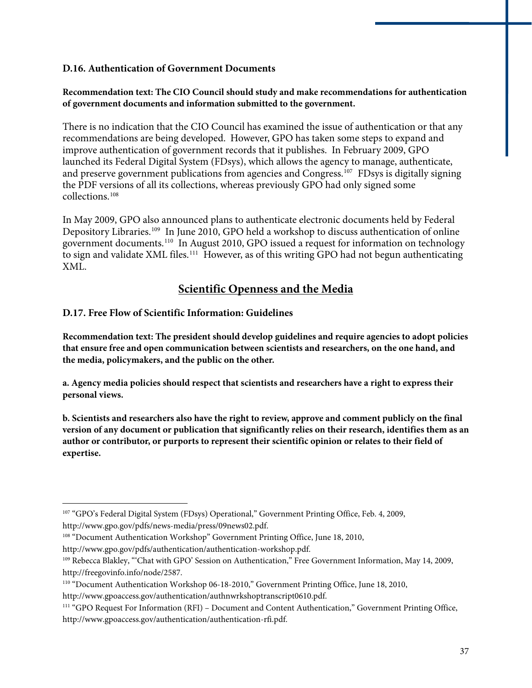#### **D.16. Authentication of Government Documents**

#### **Recommendation text: The CIO Council should study and make recommendations for authentication of government documents and information submitted to the government.**

There is no indication that the CIO Council has examined the issue of authentication or that any recommendations are being developed. However, GPO has taken some steps to expand and improve authentication of government records that it publishes. In February 2009, GPO launched its Federal Digital System (FDsys), which allows the agency to manage, authenticate, and preserve government publications from agencies and Congress.<sup>[107](#page-38-0)</sup> FDsys is digitally signing the PDF versions of all its collections, whereas previously GPO had only signed some collections.[108](#page-38-1)

In May 2009, GPO also announced plans to authenticate electronic documents held by Federal Depository Libraries.<sup>[109](#page-38-2)</sup> In June 2010, GPO held a workshop to discuss authentication of online government documents.[110](#page-38-3) In August 2010, GPO issued a request for information on technology to sign and validate XML files.<sup>[111](#page-38-4)</sup> However, as of this writing GPO had not begun authenticating XML.

#### **Scientific Openness and the Media**

#### **D.17. Free Flow of Scientific Information: Guidelines**

**Recommendation text: The president should develop guidelines and require agencies to adopt policies that ensure free and open communication between scientists and researchers, on the one hand, and the media, policymakers, and the public on the other.** 

**a. Agency media policies should respect that scientists and researchers have a right to express their personal views.** 

**b. Scientists and researchers also have the right to review, approve and comment publicly on the final version of any document or publication that significantly relies on their research, identifies them as an author or contributor, or purports to represent their scientific opinion or relates to their field of expertise.** 

<span id="page-38-0"></span><sup>107 &</sup>quot;GPO's Federal Digital System (FDsys) Operational," Government Printing Office, Feb. 4, 2009, http://www.gpo.gov/pdfs/news-media/press/09news02.pdf.

<span id="page-38-1"></span><sup>&</sup>lt;sup>108</sup> "Document Authentication Workshop" Government Printing Office, June 18, 2010,

http://www.gpo.gov/pdfs/authentication/authentication-workshop.pdf.

<span id="page-38-2"></span><sup>109</sup> Rebecca Blakley, "'Chat with GPO' Session on Authentication," Free Government Information, May 14, 2009, http://freegovinfo.info/node/2587.

<span id="page-38-3"></span><sup>110 &</sup>quot;Document Authentication Workshop 06-18-2010," Government Printing Office, June 18, 2010,

http://www.gpoaccess.gov/authentication/authnwrkshoptranscript0610.pdf.

<span id="page-38-4"></span><sup>111 &</sup>quot;GPO Request For Information (RFI) – Document and Content Authentication," Government Printing Office, http://www.gpoaccess.gov/authentication/authentication-rfi.pdf.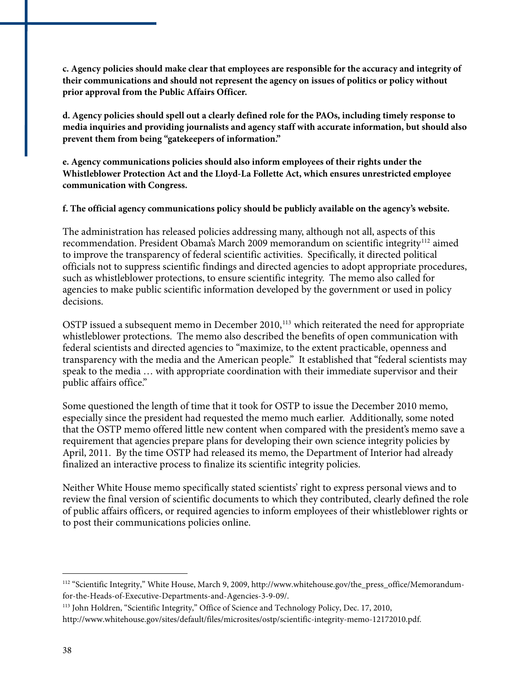**c. Agency policies should make clear that employees are responsible for the accuracy and integrity of their communications and should not represent the agency on issues of politics or policy without prior approval from the Public Affairs Officer.** 

**d. Agency policies should spell out a clearly defined role for the PAOs, including timely response to media inquiries and providing journalists and agency staff with accurate information, but should also prevent them from being "gatekeepers of information."** 

**e. Agency communications policies should also inform employees of their rights under the Whistleblower Protection Act and the Lloyd-La Follette Act, which ensures unrestricted employee communication with Congress.** 

**f. The official agency communications policy should be publicly available on the agency's website.** 

decisions. The administration has released policies addressing many, although not all, aspects of this recommendation. President Obama's March 2009 memorandum on scientific integrity<sup>[112](#page-39-0)</sup> aimed to improve the transparency of federal scientific activities. Specifically, it directed political officials not to suppress scientific findings and directed agencies to adopt appropriate procedures, such as whistleblower protections, to ensure scientific integrity. The memo also called for agencies to make public scientific information developed by the government or used in policy

transparency with the media and the American people." It established that "federal scientists may speak to the media … with appropriate coordination with their immediate supervisor and their ublic affairs office." p OSTP issued a subsequent memo in December 2010,<sup>[113](#page-39-1)</sup> which reiterated the need for appropriate whistleblower protections. The memo also described the benefits of open communication with federal scientists and directed agencies to "maximize, to the extent practicable, openness and

that the OSTP memo offered little new content when compared with the president's memo save a April, 2011. By the time OSTP had released its memo, the Department of Interior had already finalized an interactive process to finalize its scientific integrity policies. Some questioned the length of time that it took for OSTP to issue the December 2010 memo, especially since the president had requested the memo much earlier. Additionally, some noted requirement that agencies prepare plans for developing their own science integrity policies by

of public affairs officers, or required agencies to inform employees of their whistleblower rights or to post their communications policies online. Neither White House memo specifically stated scientists' right to express personal views and to review the final version of scientific documents to which they contributed, clearly defined the role

<u>.</u>

<span id="page-39-0"></span><sup>&</sup>lt;sup>112</sup> "Scientific Integrity," White House, March 9, 2009, http://www.whitehouse.gov/the\_press\_office/Memorandumfor-the-Heads-of-Executive-Departments-and-Agencies-3-9-09/.

<span id="page-39-1"></span><sup>113</sup> John Holdren, "Scientific Integrity," Office of Science and Technology Policy, Dec. 17, 2010, http://www.whitehouse.gov/sites/default/files/microsites/ostp/scientific-integrity-memo-12172010.pdf.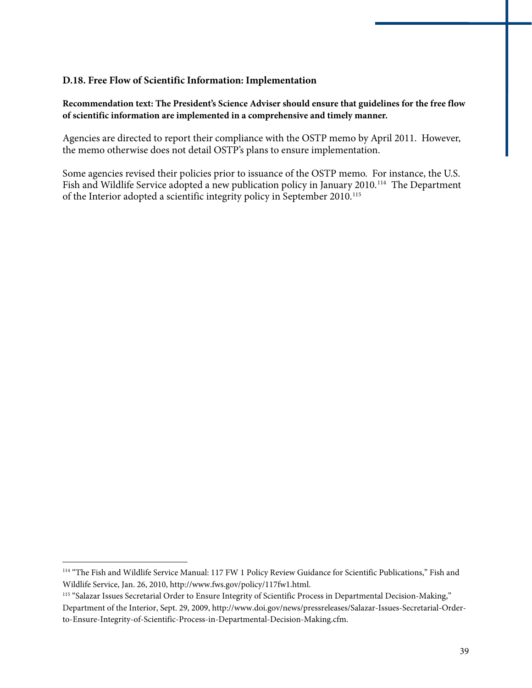#### **.18. Free Flow of Scientific Information: Implementation D**

Recommendation text: The President's Science Adviser should ensure that guidelines for the free flow **f scientific information are implemented in a comprehensive and timely manner. o**

Agencies are directed to report their compliance with the OSTP memo by April 2011. However, the memo otherwise does not detail OSTP's plans to ensure implementation.

Fish and Wildlife Service adopted a new publication policy in January 2010.<sup>114</sup> The Department of the Interior adopted a scientific integrity policy in September 2010.<sup>115</sup> Some agencies revised their policies prior to issuance of the OSTP memo. For instance, the U.S.

<sup>&</sup>lt;sup>114</sup> "The Fish and Wildlife Service Manual: 117 FW 1 Policy Review Guidance for Scientific Publications," Fish and Wildlife Service, Jan. 26, 2010, http://www.fws.gov/policy/117fw1.html.

<sup>&</sup>lt;sup>115</sup> "Salazar Issues Secretarial Order to Ensure Integrity of Scientific Process in Departmental Decision-Making," Department of the Interior, Sept. 29, 2009, http://www.doi.gov/news/pressreleases/Salazar-Issues-Secretarial-Orderto-Ensure-Integrity-of-Scientific-Process-in-Departmental-Decision-Making.cfm.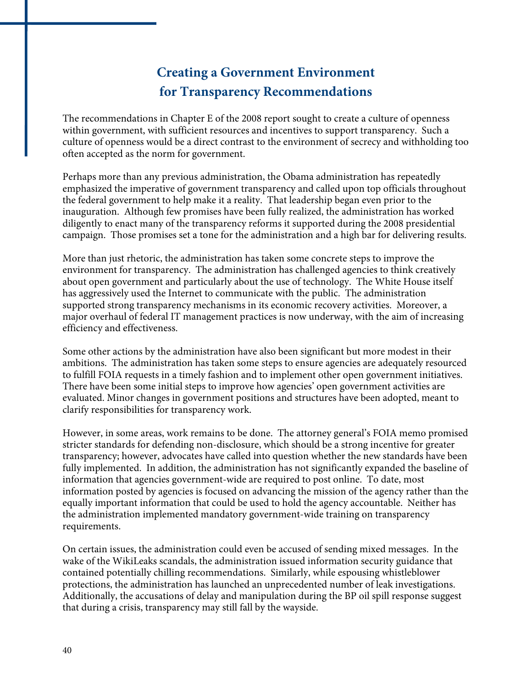## **Creating a Government Environment for Transparency Recommendations**

The recommendations in Chapter E of the 2008 report sought to create a culture of openness within government, with sufficient resources and incentives to support transparency. Such a culture of openness would be a direct contrast to the environment of secrecy and withholding too often accepted as the norm for government.

Perhaps more than any previous administration, the Obama administration has repeatedly emphasized the imperative of government transparency and called upon top officials throughout the federal government to help make it a reality. That leadership began even prior to the inauguration. Although few promises have been fully realized, the administration has worked diligently to enact many of the transparency reforms it supported during the 2008 presidential campaign. Those promises set a tone for the administration and a high bar for delivering results.

More than just rhetoric, the administration has taken some concrete steps to improve the environment for transparency. The administration has challenged agencies to think creatively about open government and particularly about the use of technology. The White House itself has aggressively used the Internet to communicate with the public. The administration supported strong transparency mechanisms in its economic recovery activities. Moreover, a major overhaul of federal IT management practices is now underway, with the aim of increasing efficiency and effectiveness.

Some other actions by the administration have also been significant but more modest in their ambitions. The administration has taken some steps to ensure agencies are adequately resourced to fulfill FOIA requests in a timely fashion and to implement other open government initiatives. There have been some initial steps to improve how agencies' open government activities are evaluated. Minor changes in government positions and structures have been adopted, meant to clarify responsibilities for transparency work.

However, in some areas, work remains to be done. The attorney general's FOIA memo promised stricter standards for defending non-disclosure, which should be a strong incentive for greater transparency; however, advocates have called into question whether the new standards have been fully implemented. In addition, the administration has not significantly expanded the baseline of information that agencies government-wide are required to post online. To date, most information posted by agencies is focused on advancing the mission of the agency rather than the equally important information that could be used to hold the agency accountable. Neither has the administration implemented mandatory government-wide training on transparency requirements.

On certain issues, the administration could even be accused of sending mixed messages. In the wake of the WikiLeaks scandals, the administration issued information security guidance that contained potentially chilling recommendations. Similarly, while espousing whistleblower protections, the administration has launched an unprecedented number of leak investigations. Additionally, the accusations of delay and manipulation during the BP oil spill response suggest that during a crisis, transparency may still fall by the wayside.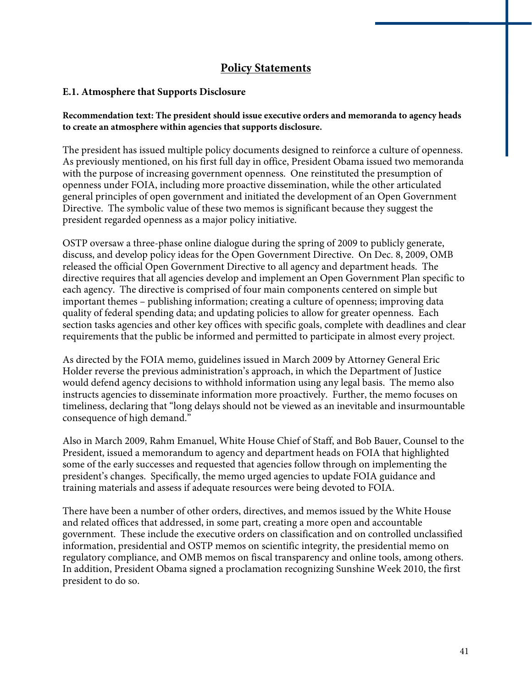#### **Policy Statements**

#### **E.1. Atmosphere that Supports Disclosure**

#### **Recommendation text: The president should issue executive orders and memoranda to agency heads to create an atmosphere within agencies that supports disclosure.**

The president has issued multiple policy documents designed to reinforce a culture of openness. As previously mentioned, on his first full day in office, President Obama issued two memoranda with the purpose of increasing government openness. One reinstituted the presumption of openness under FOIA, including more proactive dissemination, while the other articulated general principles of open government and initiated the development of an Open Government Directive. The symbolic value of these two memos is significant because they suggest the president regarded openness as a major policy initiative.

OSTP oversaw a three-phase online dialogue during the spring of 2009 to publicly generate, discuss, and develop policy ideas for the Open Government Directive. On Dec. 8, 2009, OMB released the official Open Government Directive to all agency and department heads. The directive requires that all agencies develop and implement an Open Government Plan specific to each agency. The directive is comprised of four main components centered on simple but important themes – publishing information; creating a culture of openness; improving data quality of federal spending data; and updating policies to allow for greater openness. Each section tasks agencies and other key offices with specific goals, complete with deadlines and clear requirements that the public be informed and permitted to participate in almost every project.

As directed by the FOIA memo, guidelines issued in March 2009 by Attorney General Eric Holder reverse the previous administration's approach, in which the Department of Justice would defend agency decisions to withhold information using any legal basis. The memo also instructs agencies to disseminate information more proactively. Further, the memo focuses on timeliness, declaring that "long delays should not be viewed as an inevitable and insurmountable consequence of high demand."

Also in March 2009, Rahm Emanuel, White House Chief of Staff, and Bob Bauer, Counsel to the President, issued a memorandum to agency and department heads on FOIA that highlighted some of the early successes and requested that agencies follow through on implementing the president's changes. Specifically, the memo urged agencies to update FOIA guidance and training materials and assess if adequate resources were being devoted to FOIA.

There have been a number of other orders, directives, and memos issued by the White House and related offices that addressed, in some part, creating a more open and accountable government. These include the executive orders on classification and on controlled unclassified information, presidential and OSTP memos on scientific integrity, the presidential memo on regulatory compliance, and OMB memos on fiscal transparency and online tools, among others. In addition, President Obama signed a proclamation recognizing Sunshine Week 2010, the first president to do so.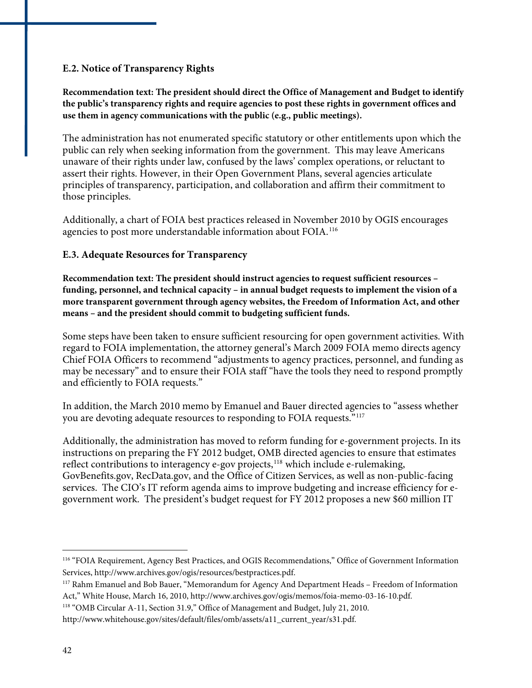#### **E.2. Notice of Transparency Rights**

**Recommendation text: The president should direct the Office of Management and Budget to identify the public's transparency rights and require agencies to post these rights in government offices and use them in agency communications with the public (e.g., public meetings).** 

The administration has not enumerated specific statutory or other entitlements upon which the public can rely when seeking information from the government. This may leave Americans unaware of their rights under law, confused by the laws' complex operations, or reluctant to assert their rights. However, in their Open Government Plans, several agencies articulate principles of transparency, participation, and collaboration and affirm their commitment to those principles.

Additionally, a chart of FOIA best practices released in November 2010 by OGIS encourages agencies to post more understandable information about FOIA.[116](#page-43-0)

#### **E.3. Adequate Resources for Transparency**

**Recommendation text: The president should instruct agencies to request sufficient resources – funding, personnel, and technical capacity – in annual budget requests to implement the vision of a more transparent government through agency websites, the Freedom of Information Act, and other means – and the president should commit to budgeting sufficient funds.** 

Some steps have been taken to ensure sufficient resourcing for open government activities. With regard to FOIA implementation, the attorney general's March 2009 FOIA memo directs agency Chief FOIA Officers to recommend "adjustments to agency practices, personnel, and funding as may be necessary" and to ensure their FOIA staff "have the tools they need to respond promptly and efficiently to FOIA requests."

In addition, the March 2010 memo by Emanuel and Bauer directed agencies to "assess whether you are devoting adequate resources to responding to FOIA requests."[117](#page-43-1)

Additionally, the administration has moved to reform funding for e-government projects. In its instructions on preparing the FY 2012 budget, OMB directed agencies to ensure that estimates reflect contributions to interagency e-gov projects,<sup>[118](#page-43-2)</sup> which include e-rulemaking, GovBenefits.gov, RecData.gov, and the Office of Citizen Services, as well as non-public-facing services. The CIO's IT reform agenda aims to improve budgeting and increase efficiency for egovernment work. The president's budget request for FY 2012 proposes a new \$60 million IT

<span id="page-43-0"></span><sup>116 &</sup>quot;FOIA Requirement, Agency Best Practices, and OGIS Recommendations," Office of Government Information Services, http://www.archives.gov/ogis/resources/bestpractices.pdf.

<span id="page-43-1"></span><sup>117</sup> Rahm Emanuel and Bob Bauer, "Memorandum for Agency And Department Heads – Freedom of Information Act," White House, March 16, 2010, http://www.archives.gov/ogis/memos/foia-memo-03-16-10.pdf.

<span id="page-43-2"></span><sup>118 &</sup>quot;OMB Circular A-11, Section 31.9," Office of Management and Budget, July 21, 2010.

http://www.whitehouse.gov/sites/default/files/omb/assets/a11\_current\_year/s31.pdf.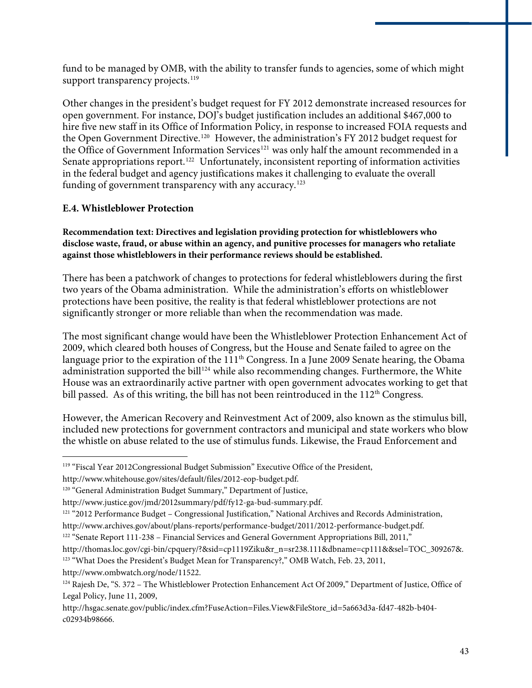fund to be managed by OMB, with the ability to transfer funds to agencies, some of which might support transparency projects.<sup>[119](#page-44-0)</sup>

Other changes in the president's budget request for FY 2012 demonstrate increased resources for open government. For instance, DOJ's budget justification includes an additional \$467,000 to hire five new staff in its Office of Information Policy, in response to increased FOIA requests and the Open Government Directive.<sup>[120](#page-44-1)</sup> However, the administration's FY 2012 budget request for the Office of Government Information Services<sup>[121](#page-44-2)</sup> was only half the amount recommended in a Senate appropriations report.<sup>[122](#page-44-3)</sup> Unfortunately, inconsistent reporting of information activities in the federal budget and agency justifications makes it challenging to evaluate the overall funding of government transparency with any accuracy.<sup>[123](#page-44-4)</sup>

#### **E.4. Whistleblower Protection**

**Recommendation text: Directives and legislation providing protection for whistleblowers who disclose waste, fraud, or abuse within an agency, and punitive processes for managers who retaliate against those whistleblowers in their performance reviews should be established.** 

There has been a patchwork of changes to protections for federal whistleblowers during the first two years of the Obama administration. While the administration's efforts on whistleblower protections have been positive, the reality is that federal whistleblower protections are not significantly stronger or more reliable than when the recommendation was made.

The most significant change would have been the Whistleblower Protection Enhancement Act of 2009, which cleared both houses of Congress, but the House and Senate failed to agree on the language prior to the expiration of the 111<sup>th</sup> Congress. In a June 2009 Senate hearing, the Obama administration supported the bill<sup>[124](#page-44-5)</sup> while also recommending changes. Furthermore, the White House was an extraordinarily active partner with open government advocates working to get that bill passed. As of this writing, the bill has not been reintroduced in the  $112<sup>th</sup>$  Congress.

However, the American Recovery and Reinvestment Act of 2009, also known as the stimulus bill, included new protections for government contractors and municipal and state workers who blow the whistle on abuse related to the use of stimulus funds. Likewise, the Fraud Enforcement and

http://www.ombwatch.org/node/11522.

<span id="page-44-0"></span> $\overline{a}$ 119 "Fiscal Year 2012Congressional Budget Submission" Executive Office of the President,

http://www.whitehouse.gov/sites/default/files/2012-eop-budget.pdf.

<span id="page-44-1"></span><sup>&</sup>lt;sup>120</sup> "General Administration Budget Summary," Department of Justice,

http://www.justice.gov/jmd/2012summary/pdf/fy12-ga-bud-summary.pdf.

<span id="page-44-2"></span><sup>&</sup>lt;sup>121</sup> "2012 Performance Budget – Congressional Justification," National Archives and Records Administration,

http://www.archives.gov/about/plans-reports/performance-budget/2011/2012-performance-budget.pdf.

<span id="page-44-3"></span><sup>122 &</sup>quot;Senate Report 111-238 – Financial Services and General Government Appropriations Bill, 2011,"

<span id="page-44-4"></span>http://thomas.loc.gov/cgi-bin/cpquery/?&sid=cp1119Ziku&r\_n=sr238.111&dbname=cp111&&sel=TOC\_309267&. <sup>123</sup> "What Does the President's Budget Mean for Transparency?," OMB Watch, Feb. 23, 2011,

<span id="page-44-5"></span><sup>&</sup>lt;sup>124</sup> Rajesh De, "S. 372 – The Whistleblower Protection Enhancement Act Of 2009," Department of Justice, Office of Legal Policy, June 11, 2009,

http://hsgac.senate.gov/public/index.cfm?FuseAction=Files.View&FileStore\_id=5a663d3a-fd47-482b-b404 c02934b98666.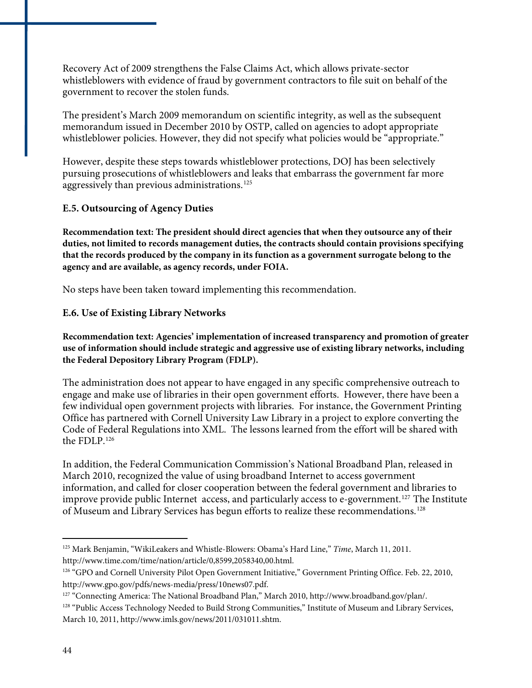Recovery Act of 2009 strengthens the False Claims Act, which allows private-sector whistleblowers with evidence of fraud by government contractors to file suit on behalf of the government to recover the stolen funds.

The president's March 2009 memorandum on scientific integrity, as well as the subsequent memorandum issued in December 2010 by OSTP, called on agencies to adopt appropriate whistleblower policies. However, they did not specify what policies would be "appropriate."

However, despite these steps towards whistleblower protections, DOJ has been selectively pursuing prosecutions of whistleblowers and leaks that embarrass the government far more aggressively than previous administrations.<sup>[125](#page-45-0)</sup>

#### **E.5. Outsourcing of Agency Duties**

**Recommendation text: The president should direct agencies that when they outsource any of their duties, not limited to records management duties, the contracts should contain provisions specifying that the records produced by the company in its function as a government surrogate belong to the agency and are available, as agency records, under FOIA.** 

No steps have been taken toward implementing this recommendation.

#### **E.6. Use of Existing Library Networks**

**Recommendation text: Agencies' implementation of increased transparency and promotion of greater use of information should include strategic and aggressive use of existing library networks, including the Federal Depository Library Program (FDLP).** 

The administration does not appear to have engaged in any specific comprehensive outreach to engage and make use of libraries in their open government efforts. However, there have been a few individual open government projects with libraries. For instance, the Government Printing Office has partnered with Cornell University Law Library in a project to explore converting the Code of Federal Regulations into XML. The lessons learned from the effort will be shared with the FDLP.[126](#page-45-1)

In addition, the Federal Communication Commission's National Broadband Plan, released in March 2010, recognized the value of using broadband Internet to access government information, and called for closer cooperation between the federal government and libraries to improve provide public Internet access, and particularly access to e-government.<sup>[127](#page-45-2)</sup> The Institute of Museum and Library Services has begun efforts to realize these recommendations.[128](#page-45-3)

<span id="page-45-0"></span><sup>125</sup> Mark Benjamin, "WikiLeakers and Whistle-Blowers: Obama's Hard Line," *Time*, March 11, 2011. http://www.time.com/time/nation/article/0,8599,2058340,00.html.

<span id="page-45-1"></span><sup>126 &</sup>quot;GPO and Cornell University Pilot Open Government Initiative," Government Printing Office. Feb. 22, 2010, http://www.gpo.gov/pdfs/news-media/press/10news07.pdf.

<span id="page-45-2"></span><sup>127 &</sup>quot;Connecting America: The National Broadband Plan," March 2010, http://www.broadband.gov/plan/.

<span id="page-45-3"></span><sup>128 &</sup>quot;Public Access Technology Needed to Build Strong Communities," Institute of Museum and Library Services, March 10, 2011, http://www.imls.gov/news/2011/031011.shtm.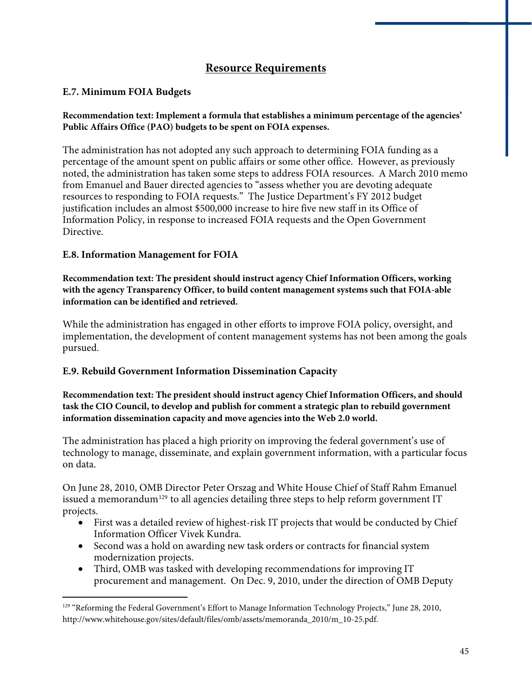#### **Resource Requirements**

#### **E.7. Minimum FOIA Budgets**

#### **Recommendation text: Implement a formula that establishes a minimum percentage of the agencies' Public Affairs Office (PAO) budgets to be spent on FOIA expenses.**

The administration has not adopted any such approach to determining FOIA funding as a percentage of the amount spent on public affairs or some other office. However, as previously noted, the administration has taken some steps to address FOIA resources. A March 2010 memo from Emanuel and Bauer directed agencies to "assess whether you are devoting adequate resources to responding to FOIA requests." The Justice Department's FY 2012 budget justification includes an almost \$500,000 increase to hire five new staff in its Office of Information Policy, in response to increased FOIA requests and the Open Government Directive.

#### **E.8. Information Management for FOIA**

 $\overline{a}$ 

**Recommendation text: The president should instruct agency Chief Information Officers, working with the agency Transparency Officer, to build content management systems such that FOIA-able information can be identified and retrieved.** 

While the administration has engaged in other efforts to improve FOIA policy, oversight, and implementation, the development of content management systems has not been among the goals pursued.

#### **E.9. Rebuild Government Information Dissemination Capacity**

**Recommendation text: The president should instruct agency Chief Information Officers, and should task the CIO Council, to develop and publish for comment a strategic plan to rebuild government information dissemination capacity and move agencies into the Web 2.0 world.** 

The administration has placed a high priority on improving the federal government's use of technology to manage, disseminate, and explain government information, with a particular focus on data.

On June 28, 2010, OMB Director Peter Orszag and White House Chief of Staff Rahm Emanuel issued a memorandum<sup>[129](#page-46-0)</sup> to all agencies detailing three steps to help reform government IT projects.

- First was a detailed review of highest-risk IT projects that would be conducted by Chief Information Officer Vivek Kundra.
- Second was a hold on awarding new task orders or contracts for financial system modernization projects.
- Third, OMB was tasked with developing recommendations for improving IT procurement and management. On Dec. 9, 2010, under the direction of OMB Deputy

<span id="page-46-0"></span><sup>&</sup>lt;sup>129</sup> "Reforming the Federal Government's Effort to Manage Information Technology Projects," June 28, 2010, http://www.whitehouse.gov/sites/default/files/omb/assets/memoranda\_2010/m\_10-25.pdf.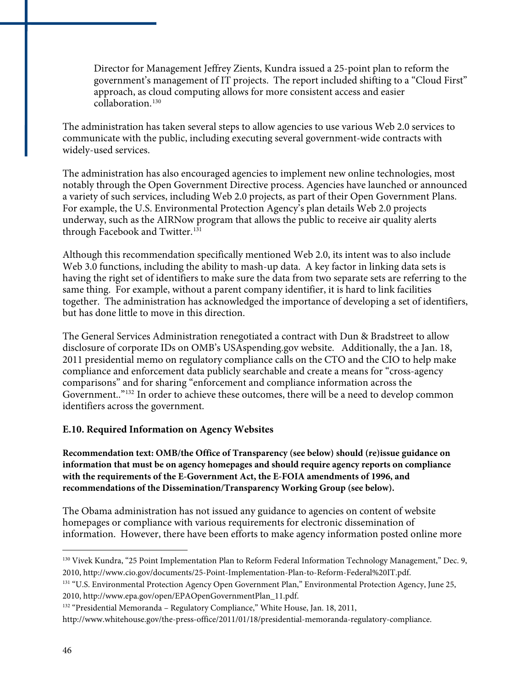Director for Management Jeffrey Zients, Kundra issued a 25-point plan to reform the government's management of IT projects. The report included shifting to a "Cloud First" approach, as cloud computing allows for more consistent access and easier collaboration.<sup>130</sup>

The administration has taken several steps to allow agencies to use various Web 2.0 services to communicate with the public, including executing several government-wide contracts with widely-used services.

The administration has also encouraged agencies to implement new online technologies, most notably through the Open Government Directive process. Agencies have launched or announced a variety of such services, including Web 2.0 projects, as part of their Open Government Plans. For example, the U.S. Environmental Protection Agency's plan details Web 2.0 projects underway, such as the AIRNow program that allows the public to receive air quality alerts through Facebook and Twitter.<sup>[131](#page-47-0)</sup>

Although this recommendation specifically mentioned Web 2.0, its intent was to also include Web 3.0 functions, including the ability to mash-up data. A key factor in linking data sets is having the right set of identifiers to make sure the data from two separate sets are referring to the same thing. For example, without a parent company identifier, it is hard to link facilities together. The administration has acknowledged the importance of developing a set of identifiers, but has done little to move in this direction.

The General Services Administration renegotiated a contract with Dun & Bradstreet to allow disclosure of corporate IDs on OMB's USAspending.gov website. Additionally, the a Jan. 18, 2011 presidential memo on regulatory compliance calls on the CTO and the CIO to help make compliance and enforcement data publicly searchable and create a means for "cross-agency comparisons" and for sharing "enforcement and compliance information across the Government.."<sup>[132](#page-47-1)</sup> In order to achieve these outcomes, there will be a need to develop common identifiers across the government.

#### **E.10. Required Information on Agency Websites**

**Recommendation text: OMB/the Office of Transparency (see below) should (re)issue guidance on information that must be on agency homepages and should require agency reports on compliance with the requirements of the E-Government Act, the E-FOIA amendments of 1996, and recommendations of the Dissemination/Transparency Working Group (see below).** 

The Obama administration has not issued any guidance to agencies on content of website homepages or compliance with various requirements for electronic dissemination of information. However, there have been efforts to make agency information posted online more

 $\overline{a}$ <sup>130</sup> Vivek Kundra, "25 Point Implementation Plan to Reform Federal Information Technology Management," Dec. 9, 2010, http://www.cio.gov/documents/25-Point-Implementation-Plan-to-Reform-Federal%20IT.pdf.

<span id="page-47-0"></span><sup>&</sup>lt;sup>131</sup> "U.S. Environmental Protection Agency Open Government Plan," Environmental Protection Agency, June 25, 2010, http://www.epa.gov/open/EPAOpenGovernmentPlan\_11.pdf.

<span id="page-47-1"></span><sup>&</sup>lt;sup>132</sup> "Presidential Memoranda – Regulatory Compliance," White House, Jan. 18, 2011,

http://www.whitehouse.gov/the-press-office/2011/01/18/presidential-memoranda-regulatory-compliance.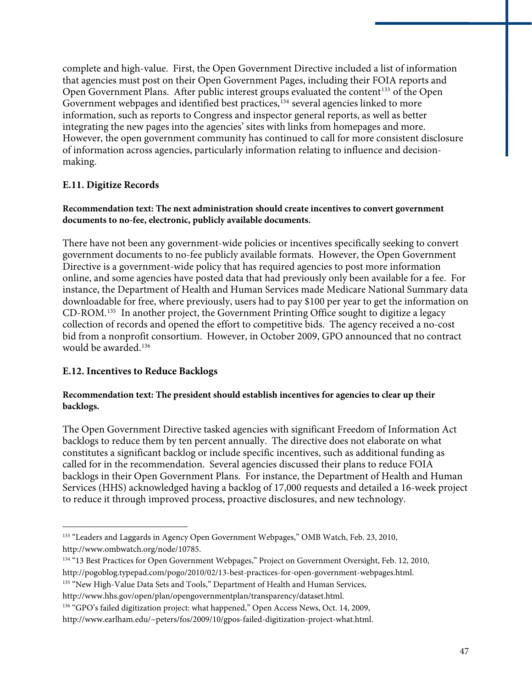complete and high-value. First, the Open Government Directive included a list of information that agencies must post on their Open Government Pages, including their FOIA reports and Open Government Plans. After public interest groups evaluated the content<sup>[133](#page-48-0)</sup> of the Open Government webpages and identified best practices,<sup>[134](#page-48-1)</sup> several agencies linked to more information, such as reports to Congress and inspector general reports, as well as better integrating the new pages into the agencies' sites with links from homepages and more. However, the open government community has continued to call for more consistent disclosure of information across agencies, particularly information relating to influence and decisionmaking.

#### **E.11. Digitize Records**

#### **Recommendation text: The next administration should create incentives to convert government documents to no-fee, electronic, publicly available documents.**

There have not been any government-wide policies or incentives specifically seeking to convert government documents to no-fee publicly available formats. However, the Open Government Directive is a government-wide policy that has required agencies to post more information online, and some agencies have posted data that had previously only been available for a fee. For instance, the Department of Health and Human Services made Medicare National Summary data downloadable for free, where previously, users had to pay \$100 per year to get the information on CD-ROM.[135](#page-48-2) In another project, the Government Printing Office sought to digitize a legacy collection of records and opened the effort to competitive bids. The agency received a no-cost bid from a nonprofit consortium. However, in October 2009, GPO announced that no contract would be awarded.<sup>[136](#page-48-3)</sup>

#### **E.12. Incentives to Reduce Backlogs**

 $\overline{a}$ 

#### **Recommendation text: The president should establish incentives for agencies to clear up their backlogs.**

The Open Government Directive tasked agencies with significant Freedom of Information Act backlogs to reduce them by ten percent annually. The directive does not elaborate on what constitutes a significant backlog or include specific incentives, such as additional funding as called for in the recommendation. Several agencies discussed their plans to reduce FOIA backlogs in their Open Government Plans. For instance, the Department of Health and Human Services (HHS) acknowledged having a backlog of 17,000 requests and detailed a 16-week project to reduce it through improved process, proactive disclosures, and new technology.

<span id="page-48-0"></span><sup>133 &</sup>quot;Leaders and Laggards in Agency Open Government Webpages," OMB Watch, Feb. 23, 2010, http://www.ombwatch.org/node/10785.

<span id="page-48-1"></span><sup>&</sup>lt;sup>134</sup> "13 Best Practices for Open Government Webpages," Project on Government Oversight, Feb. 12, 2010, http://pogoblog.typepad.com/pogo/2010/02/13-best-practices-for-open-government-webpages.html.

<span id="page-48-2"></span><sup>&</sup>lt;sup>135</sup> "New High-Value Data Sets and Tools," Department of Health and Human Services,

http://www.hhs.gov/open/plan/opengovernmentplan/transparency/dataset.html.

<span id="page-48-3"></span><sup>136 &</sup>quot;GPO's failed digitization project: what happened," Open Access News, Oct. 14, 2009,

http://www.earlham.edu/~peters/fos/2009/10/gpos-failed-digitization-project-what.html.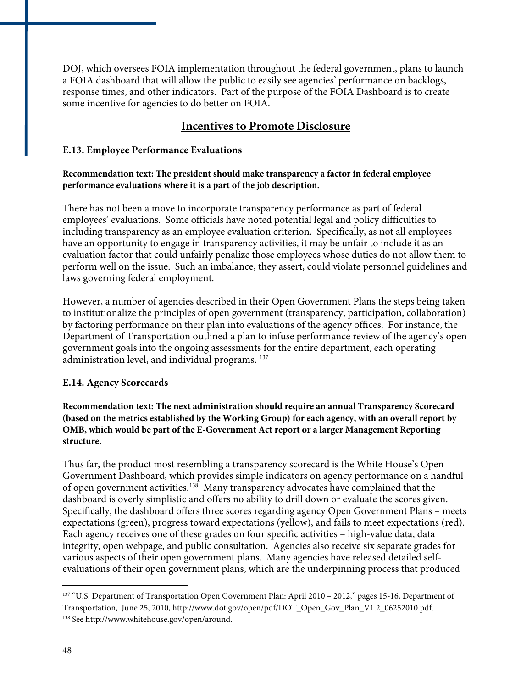DOJ, which oversees FOIA implementation throughout the federal government, plans to launch a FOIA dashboard that will allow the public to easily see agencies' performance on backlogs, response times, and other indicators. Part of the purpose of the FOIA Dashboard is to create some incentive for agencies to do better on FOIA.

#### **Incentives to Promote Disclosure**

#### **E.13. Employee Performance Evaluations**

#### **Recommendation text: The president should make transparency a factor in federal employee performance evaluations where it is a part of the job description.**

There has not been a move to incorporate transparency performance as part of federal employees' evaluations. Some officials have noted potential legal and policy difficulties to including transparency as an employee evaluation criterion. Specifically, as not all employees have an opportunity to engage in transparency activities, it may be unfair to include it as an evaluation factor that could unfairly penalize those employees whose duties do not allow them to perform well on the issue. Such an imbalance, they assert, could violate personnel guidelines and laws governing federal employment.

However, a number of agencies described in their Open Government Plans the steps being taken to institutionalize the principles of open government (transparency, participation, collaboration) by factoring performance on their plan into evaluations of the agency offices. For instance, the Department of Transportation outlined a plan to infuse performance review of the agency's open government goals into the ongoing assessments for the entire department, each operating administration level, and individual programs. [137](#page-49-0)

#### **E.14. Agency Scorecards**

**Recommendation text: The next administration should require an annual Transparency Scorecard (based on the metrics established by the Working Group) for each agency, with an overall report by OMB, which would be part of the E-Government Act report or a larger Management Reporting structure.** 

Thus far, the product most resembling a transparency scorecard is the White House's Open Government Dashboard, which provides simple indicators on agency performance on a handful of open government activities.[138](#page-49-1) Many transparency advocates have complained that the dashboard is overly simplistic and offers no ability to drill down or evaluate the scores given. Specifically, the dashboard offers three scores regarding agency Open Government Plans – meets expectations (green), progress toward expectations (yellow), and fails to meet expectations (red). Each agency receives one of these grades on four specific activities – high-value data, data integrity, open webpage, and public consultation. Agencies also receive six separate grades for various aspects of their open government plans. Many agencies have released detailed selfevaluations of their open government plans, which are the underpinning process that produced

<span id="page-49-1"></span><span id="page-49-0"></span><sup>&</sup>lt;sup>137</sup> "U.S. Department of Transportation Open Government Plan: April 2010 – 2012," pages 15-16, Department of Transportation, June 25, 2010, http://www.dot.gov/open/pdf/DOT\_Open\_Gov\_Plan\_V1.2\_06252010.pdf. 138 See http://www.whitehouse.gov/open/around.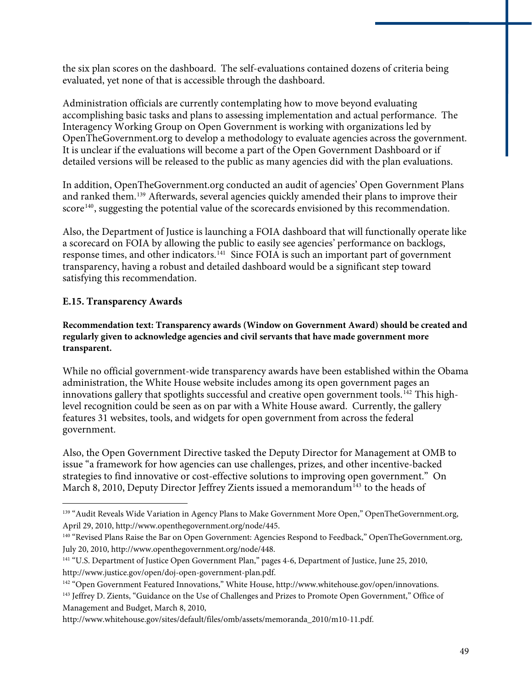the six plan scores on the dashboard. The self-evaluations contained dozens of criteria being evaluated, yet none of that is accessible through the dashboard.

Administration officials are currently contemplating how to move beyond evaluating accomplishing basic tasks and plans to assessing implementation and actual performance. The Interagency Working Group on Open Government is working with organizations led by OpenTheGovernment.org to develop a methodology to evaluate agencies across the government. It is unclear if the evaluations will become a part of the Open Government Dashboard or if detailed versions will be released to the public as many agencies did with the plan evaluations.

In addition, OpenTheGovernment.org conducted an audit of agencies' Open Government Plans and ranked them.[139](#page-50-0) Afterwards, several agencies quickly amended their plans to improve their score<sup>[140](#page-50-1)</sup>, suggesting the potential value of the scorecards envisioned by this recommendation.

Also, the Department of Justice is launching a FOIA dashboard that will functionally operate like a scorecard on FOIA by allowing the public to easily see agencies' performance on backlogs, response times, and other indicators.<sup>[141](#page-50-2)</sup> Since FOIA is such an important part of government transparency, having a robust and detailed dashboard would be a significant step toward satisfying this recommendation.

#### **E.15. Transparency Awards**

 $\overline{a}$ 

**Recommendation text: Transparency awards (Window on Government Award) should be created and regularly given to acknowledge agencies and civil servants that have made government more transparent.** 

While no official government-wide transparency awards have been established within the Obama administration, the White House website includes among its open government pages an innovations gallery that spotlights successful and creative open government tools.<sup>[142](#page-50-3)</sup> This highlevel recognition could be seen as on par with a White House award. Currently, the gallery features 31 websites, tools, and widgets for open government from across the federal government.

Also, the Open Government Directive tasked the Deputy Director for Management at OMB to issue "a framework for how agencies can use challenges, prizes, and other incentive-backed strategies to find innovative or cost-effective solutions to improving open government." On March 8, 2010, Deputy Director Jeffrey Zients issued a memorandum<sup>[143](#page-50-4)</sup> to the heads of

<span id="page-50-0"></span><sup>&</sup>lt;sup>139</sup> "Audit Reveals Wide Variation in Agency Plans to Make Government More Open," OpenTheGovernment.org, April 29, 2010, http://www.openthegovernment.org/node/445.

<span id="page-50-1"></span><sup>140 &</sup>quot;Revised Plans Raise the Bar on Open Government: Agencies Respond to Feedback," OpenTheGovernment.org, July 20, 2010, http://www.openthegovernment.org/node/448.

<span id="page-50-2"></span><sup>&</sup>lt;sup>141</sup> "U.S. Department of Justice Open Government Plan," pages 4-6, Department of Justice, June 25, 2010, http://www.justice.gov/open/doj-open-government-plan.pdf.

<span id="page-50-3"></span><sup>142 &</sup>quot;Open Government Featured Innovations," White House, http://www.whitehouse.gov/open/innovations.

<span id="page-50-4"></span><sup>&</sup>lt;sup>143</sup> Jeffrey D. Zients, "Guidance on the Use of Challenges and Prizes to Promote Open Government," Office of Management and Budget, March 8, 2010,

http://www.whitehouse.gov/sites/default/files/omb/assets/memoranda\_2010/m10-11.pdf.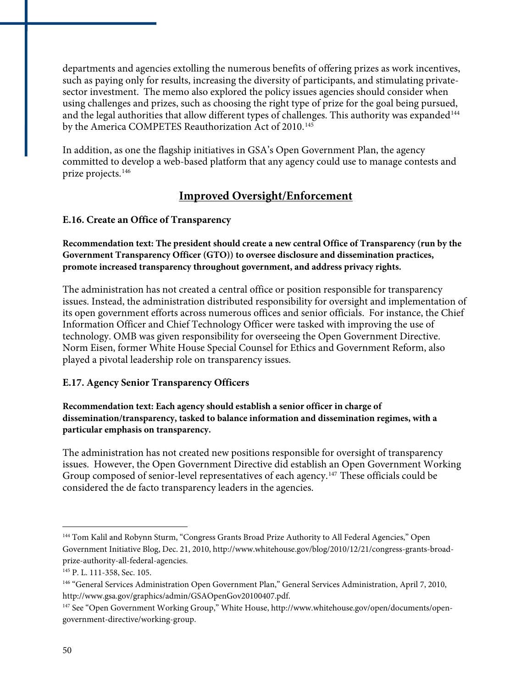departments and agencies extolling the numerous benefits of offering prizes as work incentives, such as paying only for results, increasing the diversity of participants, and stimulating privatesector investment. The memo also explored the policy issues agencies should consider when using challenges and prizes, such as choosing the right type of prize for the goal being pursued, and the legal authorities that allow different types of challenges. This authority was expanded<sup>[144](#page-51-0)</sup> by the America COMPETES Reauthorization Act of 2010.<sup>[145](#page-51-1)</sup>

In addition, as one the flagship initiatives in GSA's Open Government Plan, the agency committed to develop a web-based platform that any agency could use to manage contests and prize projects.[146](#page-51-2)

## **Improved Oversight/Enforcement**

#### **E.16. Create an Office of Transparency**

**Recommendation text: The president should create a new central Office of Transparency (run by the Government Transparency Officer (GTO)) to oversee disclosure and dissemination practices, promote increased transparency throughout government, and address privacy rights.** 

The administration has not created a central office or position responsible for transparency issues. Instead, the administration distributed responsibility for oversight and implementation of its open government efforts across numerous offices and senior officials. For instance, the Chief Information Officer and Chief Technology Officer were tasked with improving the use of technology. OMB was given responsibility for overseeing the Open Government Directive. Norm Eisen, former White House Special Counsel for Ethics and Government Reform, also played a pivotal leadership role on transparency issues.

#### **E.17. Agency Senior Transparency Officers**

**Recommendation text: Each agency should establish a senior officer in charge of dissemination/transparency, tasked to balance information and dissemination regimes, with a particular emphasis on transparency.** 

The administration has not created new positions responsible for oversight of transparency issues. However, the Open Government Directive did establish an Open Government Working Group composed of senior-level representatives of each agency.[147](#page-51-3) These officials could be considered the de facto transparency leaders in the agencies.

<span id="page-51-0"></span><sup>&</sup>lt;sup>144</sup> Tom Kalil and Robynn Sturm, "Congress Grants Broad Prize Authority to All Federal Agencies," Open Government Initiative Blog, Dec. 21, 2010, http://www.whitehouse.gov/blog/2010/12/21/congress-grants-broadprize-authority-all-federal-agencies.

<span id="page-51-1"></span><sup>145</sup> P. L. 111-358, Sec. 105.

<span id="page-51-2"></span><sup>&</sup>lt;sup>146</sup> "General Services Administration Open Government Plan," General Services Administration, April 7, 2010, http://www.gsa.gov/graphics/admin/GSAOpenGov20100407.pdf.

<span id="page-51-3"></span><sup>&</sup>lt;sup>147</sup> See "Open Government Working Group," White House, http://www.whitehouse.gov/open/documents/opengovernment-directive/working-group.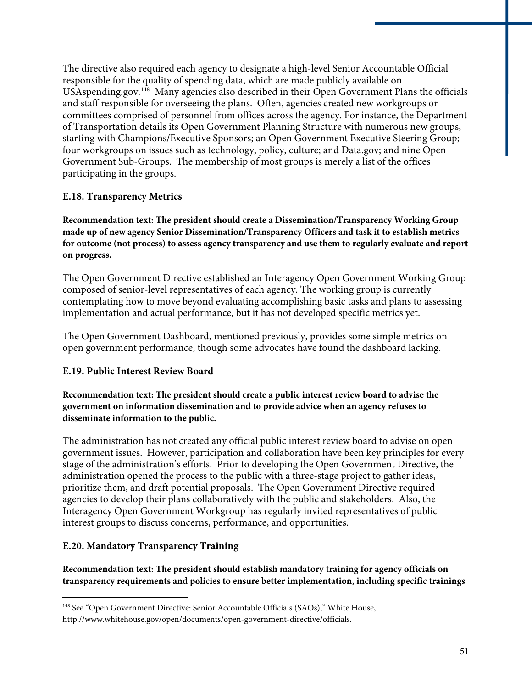The directive also required each agency to designate a high-level Senior Accountable Official responsible for the quality of spending data, which are made publicly available on USAspending.gov.<sup>[148](#page-52-0)</sup> Many agencies also described in their Open Government Plans the officials and staff responsible for overseeing the plans. Often, agencies created new workgroups or committees comprised of personnel from offices across the agency. For instance, the Department of Transportation details its Open Government Planning Structure with numerous new groups, starting with Champions/Executive Sponsors; an Open Government Executive Steering Group; four workgroups on issues such as technology, policy, culture; and Data.gov; and nine Open Government Sub-Groups. The membership of most groups is merely a list of the offices participating in the groups.

#### **E.18. Transparency Metrics**

**Recommendation text: The president should create a Dissemination/Transparency Working Group made up of new agency Senior Dissemination/Transparency Officers and task it to establish metrics for outcome (not process) to assess agency transparency and use them to regularly evaluate and report on progress.** 

The Open Government Directive established an Interagency Open Government Working Group composed of senior-level representatives of each agency. The working group is currently contemplating how to move beyond evaluating accomplishing basic tasks and plans to assessing implementation and actual performance, but it has not developed specific metrics yet.

The Open Government Dashboard, mentioned previously, provides some simple metrics on open government performance, though some advocates have found the dashboard lacking.

#### **E.19. Public Interest Review Board**

**Recommendation text: The president should create a public interest review board to advise the government on information dissemination and to provide advice when an agency refuses to disseminate information to the public.** 

The administration has not created any official public interest review board to advise on open government issues. However, participation and collaboration have been key principles for every stage of the administration's efforts. Prior to developing the Open Government Directive, the administration opened the process to the public with a three-stage project to gather ideas, prioritize them, and draft potential proposals. The Open Government Directive required agencies to develop their plans collaboratively with the public and stakeholders. Also, the Interagency Open Government Workgroup has regularly invited representatives of public interest groups to discuss concerns, performance, and opportunities.

#### **E.20. Mandatory Transparency Training**

 $\overline{a}$ 

**Recommendation text: The president should establish mandatory training for agency officials on transparency requirements and policies to ensure better implementation, including specific trainings** 

<span id="page-52-0"></span><sup>&</sup>lt;sup>148</sup> See "Open Government Directive: Senior Accountable Officials (SAOs)," White House, http://www.whitehouse.gov/open/documents/open-government-directive/officials.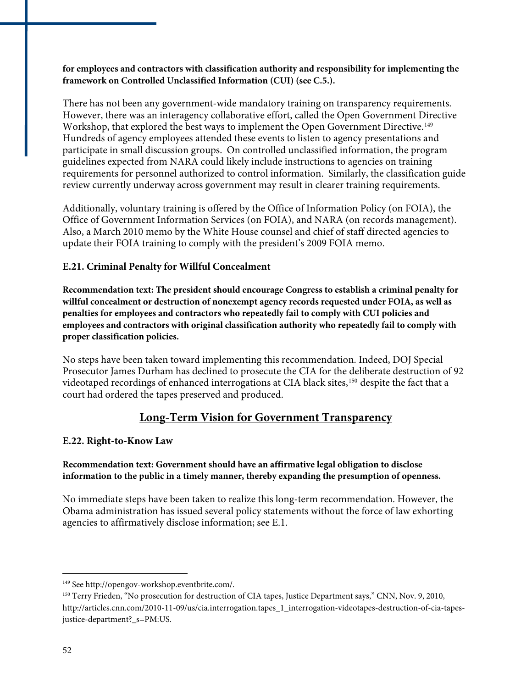**for employees and contractors with classification authority and responsibility for implementing the framework on Controlled Unclassified Information (CUI) (see C.5.).** 

There has not been any government-wide mandatory training on transparency requirements. However, there was an interagency collaborative effort, called the Open Government Directive Workshop, that explored the best ways to implement the Open Government Directive.<sup>[149](#page-53-0)</sup> Hundreds of agency employees attended these events to listen to agency presentations and participate in small discussion groups. On controlled unclassified information, the program guidelines expected from NARA could likely include instructions to agencies on training requirements for personnel authorized to control information. Similarly, the classification guide review currently underway across government may result in clearer training requirements.

Additionally, voluntary training is offered by the Office of Information Policy (on FOIA), the Office of Government Information Services (on FOIA), and NARA (on records management). Also, a March 2010 memo by the White House counsel and chief of staff directed agencies to update their FOIA training to comply with the president's 2009 FOIA memo.

#### **E.21. Criminal Penalty for Willful Concealment**

**Recommendation text: The president should encourage Congress to establish a criminal penalty for willful concealment or destruction of nonexempt agency records requested under FOIA, as well as penalties for employees and contractors who repeatedly fail to comply with CUI policies and employees and contractors with original classification authority who repeatedly fail to comply with proper classification policies.** 

No steps have been taken toward implementing this recommendation. Indeed, DOJ Special Prosecutor James Durham has declined to prosecute the CIA for the deliberate destruction of 92 videotaped recordings of enhanced interrogations at CIA black sites,<sup>[150](#page-53-1)</sup> despite the fact that a court had ordered the tapes preserved and produced.

#### **Long-Term Vision for Government Transparency**

#### **E.22. Right-to-Know Law**

#### **Recommendation text: Government should have an affirmative legal obligation to disclose information to the public in a timely manner, thereby expanding the presumption of openness.**

No immediate steps have been taken to realize this long-term recommendation. However, the Obama administration has issued several policy statements without the force of law exhorting agencies to affirmatively disclose information; see E.1.

<span id="page-53-0"></span><sup>149</sup> See http://opengov-workshop.eventbrite.com/.

<span id="page-53-1"></span><sup>150</sup> Terry Frieden, "No prosecution for destruction of CIA tapes, Justice Department says," CNN, Nov. 9, 2010, http://articles.cnn.com/2010-11-09/us/cia.interrogation.tapes\_1\_interrogation-videotapes-destruction-of-cia-tapesjustice-department? s=PM:US.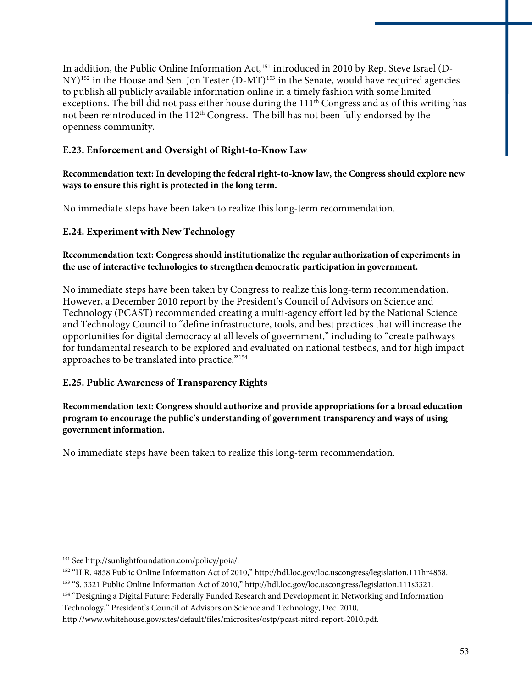to publish all publicly available information online in a timely fashion with some limited In addition, the Public Online Information Act,<sup>[151](#page-54-0)</sup> introduced in 2010 by Rep. Steve Israel (D-NY)<sup>[152](#page-54-1)</sup> in the House and Sen. Jon Tester (D-MT)<sup>[153](#page-54-2)</sup> in the Senate, would have required agencies exceptions. The bill did not pass either house during the 111<sup>th</sup> Congress and as of this writing has not been reintroduced in the 112<sup>th</sup> Congress. The bill has not been fully endorsed by the openness community.

#### **E.23. Enforcement and Oversight of Right-to-Know Law**

**Recommendation text: In developing the federal right-to-know law, the Congress should explore new ways to ensure this right is protected in the long term.** 

No immediate steps have been taken to realize this long-term recommendation.

#### **E.24. Experiment with New Technology**

#### **Recommendation text: Congress should institutionalize the regular authorization of experiments in the use of interactive technologies to strengthen democratic participation in government.**

No immediate steps have been taken by Congress to realize this long-term recommendation. However, a December 2010 report by the President's Council of Advisors on Science and Technology (PCAST) recommended creating a multi-agency effort led by the National Science and Technology Council to "define infrastructure, tools, and best practices that will increase the opportunities for digital democracy at all levels of government," including to "create pathways for fundamental research to be explored and evaluated on national testbeds, and for high impact approaches to be translated into practice."[154](#page-54-3)

#### **E.25. Public Awareness of Transparency Rights**

**Recommendation text: Congress should authorize and provide appropriations for a broad education program to encourage the public's understanding of government transparency and ways of using government information.** 

No immediate steps have been taken to realize this long-term recommendation.

<span id="page-54-0"></span><sup>151</sup> See http://sunlightfoundation.com/policy/poia/.

<span id="page-54-1"></span><sup>152 &</sup>quot;H.R. 4858 Public Online Information Act of 2010," http://hdl.loc.gov/loc.uscongress/legislation.111hr4858.

<span id="page-54-2"></span><sup>153 &</sup>quot;S. 3321 Public Online Information Act of 2010," http://hdl.loc.gov/loc.uscongress/legislation.111s3321.

<span id="page-54-3"></span><sup>154 &</sup>quot;Designing a Digital Future: Federally Funded Research and Development in Networking and Information Technology," President's Council of Advisors on Science and Technology, Dec. 2010,

http://www.whitehouse.gov/sites/default/files/microsites/ostp/pcast-nitrd-report-2010.pdf.